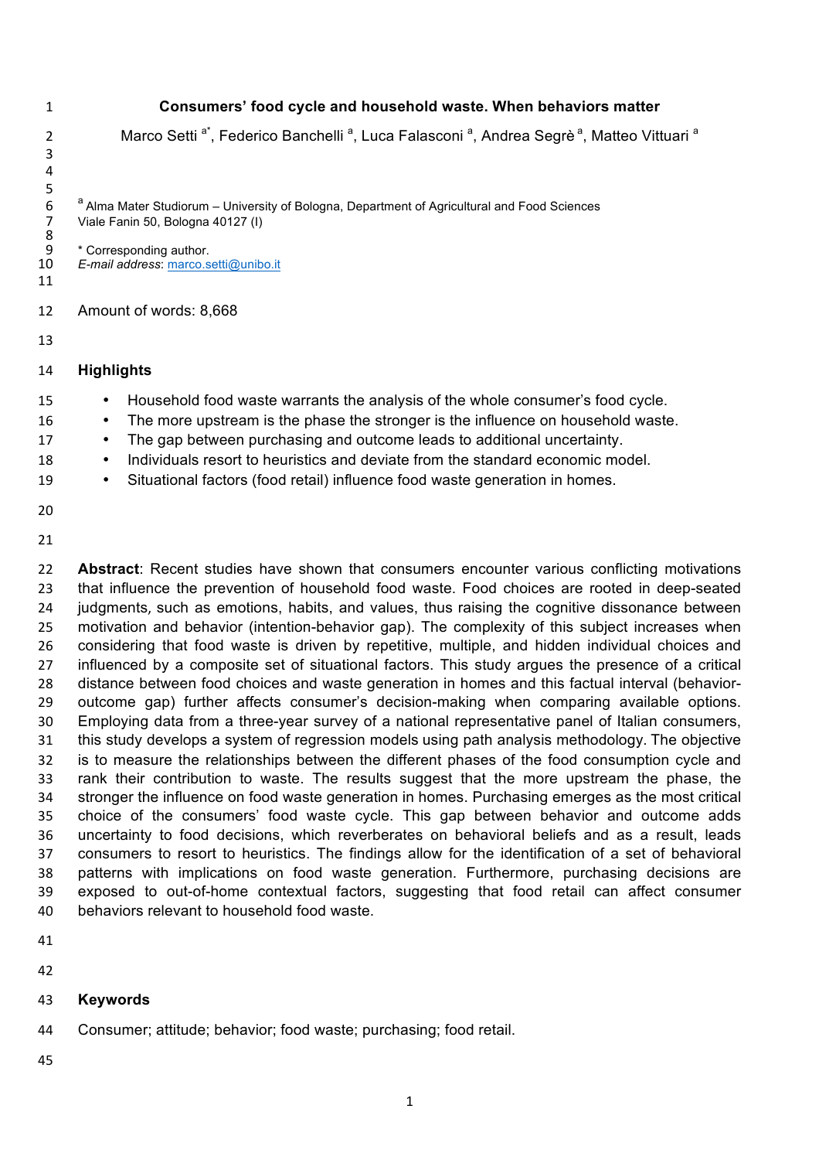# **Consumers' food cycle and household waste. When behaviors matter**

2 Marco Setti <sup>a\*</sup>, Federico Banchelli <sup>a</sup>, Luca Falasconi <sup>a</sup>, Andrea Segrè <sup>a</sup>, Matteo Vittuari <sup>a</sup>

5<br>6 <sup>a</sup> Alma Mater Studiorum – University of Bologna, Department of Agricultural and Food Sciences<br>7 Viale Fanin 50. Bologna 40127 (I) Viale Fanin 50, Bologna 40127 (I)

8<br>9

- 9 \* Corresponding author.<br>10 E-mail address: marco.s *E-mail address*: marco.setti@unibo.it
- 

 

- Amount of words: 8,668
- 

#### **Highlights**

- Household food waste warrants the analysis of the whole consumer's food cycle.
- The more upstream is the phase the stronger is the influence on household waste.
- The gap between purchasing and outcome leads to additional uncertainty.
- Individuals resort to heuristics and deviate from the standard economic model.
- Situational factors (food retail) influence food waste generation in homes.
- 
- 

 **Abstract**: Recent studies have shown that consumers encounter various conflicting motivations that influence the prevention of household food waste. Food choices are rooted in deep-seated 24 iudgments, such as emotions, habits, and values, thus raising the cognitive dissonance between motivation and behavior (intention-behavior gap). The complexity of this subject increases when considering that food waste is driven by repetitive, multiple, and hidden individual choices and influenced by a composite set of situational factors. This study argues the presence of a critical distance between food choices and waste generation in homes and this factual interval (behavior- outcome gap) further affects consumer's decision-making when comparing available options. Employing data from a three-year survey of a national representative panel of Italian consumers, 31 this study develops a system of regression models using path analysis methodology. The objective is to measure the relationships between the different phases of the food consumption cycle and rank their contribution to waste. The results suggest that the more upstream the phase, the stronger the influence on food waste generation in homes. Purchasing emerges as the most critical choice of the consumers' food waste cycle. This gap between behavior and outcome adds uncertainty to food decisions, which reverberates on behavioral beliefs and as a result, leads consumers to resort to heuristics. The findings allow for the identification of a set of behavioral patterns with implications on food waste generation. Furthermore, purchasing decisions are exposed to out-of-home contextual factors, suggesting that food retail can affect consumer behaviors relevant to household food waste.

#### **Keywords**

- Consumer; attitude; behavior; food waste; purchasing; food retail.
-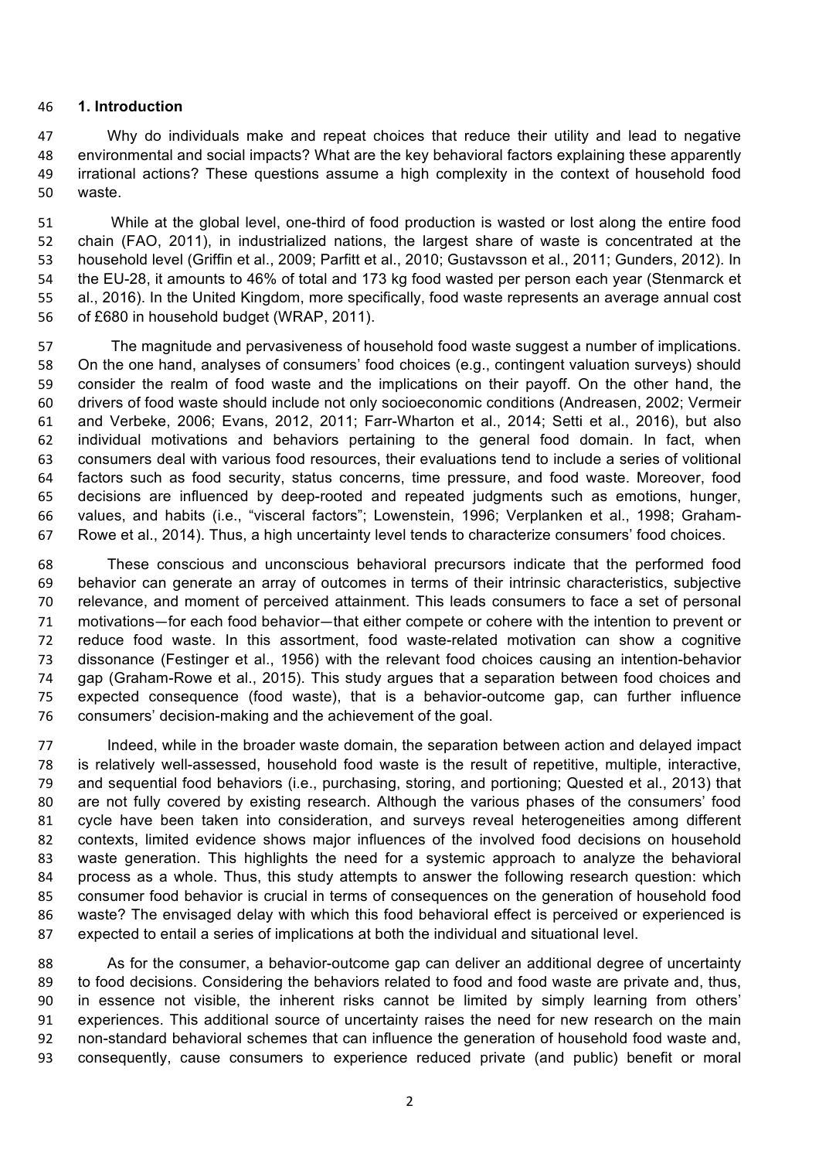#### **1. Introduction**

 Why do individuals make and repeat choices that reduce their utility and lead to negative environmental and social impacts? What are the key behavioral factors explaining these apparently irrational actions? These questions assume a high complexity in the context of household food waste.

 While at the global level, one-third of food production is wasted or lost along the entire food chain (FAO, 2011), in industrialized nations, the largest share of waste is concentrated at the household level (Griffin et al., 2009; Parfitt et al., 2010; Gustavsson et al., 2011; Gunders, 2012). In the EU-28, it amounts to 46% of total and 173 kg food wasted per person each year (Stenmarck et al., 2016). In the United Kingdom, more specifically, food waste represents an average annual cost of £680 in household budget (WRAP, 2011).

 The magnitude and pervasiveness of household food waste suggest a number of implications. On the one hand, analyses of consumers' food choices (e.g., contingent valuation surveys) should consider the realm of food waste and the implications on their payoff. On the other hand, the drivers of food waste should include not only socioeconomic conditions (Andreasen, 2002; Vermeir and Verbeke, 2006; Evans, 2012, 2011; Farr-Wharton et al., 2014; Setti et al., 2016), but also individual motivations and behaviors pertaining to the general food domain. In fact, when consumers deal with various food resources, their evaluations tend to include a series of volitional factors such as food security, status concerns, time pressure, and food waste. Moreover, food decisions are influenced by deep-rooted and repeated judgments such as emotions, hunger, values, and habits (i.e., "visceral factors"; Lowenstein, 1996; Verplanken et al., 1998; Graham-Rowe et al., 2014). Thus, a high uncertainty level tends to characterize consumers' food choices.

 These conscious and unconscious behavioral precursors indicate that the performed food behavior can generate an array of outcomes in terms of their intrinsic characteristics, subjective relevance, and moment of perceived attainment. This leads consumers to face a set of personal motivations—for each food behavior—that either compete or cohere with the intention to prevent or reduce food waste. In this assortment, food waste-related motivation can show a cognitive dissonance (Festinger et al., 1956) with the relevant food choices causing an intention-behavior gap (Graham-Rowe et al., 2015). This study argues that a separation between food choices and expected consequence (food waste), that is a behavior-outcome gap, can further influence consumers' decision-making and the achievement of the goal.

 Indeed, while in the broader waste domain, the separation between action and delayed impact is relatively well-assessed, household food waste is the result of repetitive, multiple, interactive, and sequential food behaviors (i.e., purchasing, storing, and portioning; Quested et al., 2013) that are not fully covered by existing research. Although the various phases of the consumers' food cycle have been taken into consideration, and surveys reveal heterogeneities among different contexts, limited evidence shows major influences of the involved food decisions on household waste generation. This highlights the need for a systemic approach to analyze the behavioral process as a whole. Thus, this study attempts to answer the following research question: which consumer food behavior is crucial in terms of consequences on the generation of household food waste? The envisaged delay with which this food behavioral effect is perceived or experienced is expected to entail a series of implications at both the individual and situational level.

 As for the consumer, a behavior-outcome gap can deliver an additional degree of uncertainty to food decisions. Considering the behaviors related to food and food waste are private and, thus, in essence not visible, the inherent risks cannot be limited by simply learning from others' experiences. This additional source of uncertainty raises the need for new research on the main non-standard behavioral schemes that can influence the generation of household food waste and, consequently, cause consumers to experience reduced private (and public) benefit or moral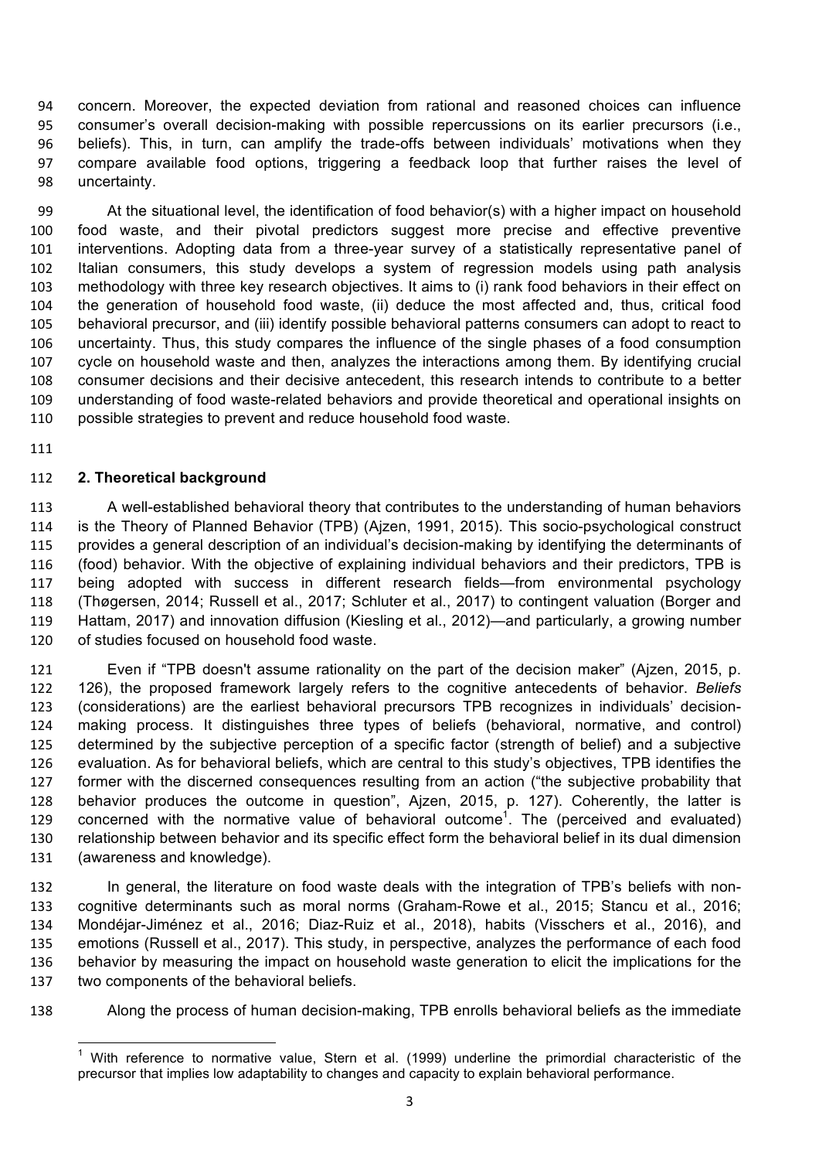concern. Moreover, the expected deviation from rational and reasoned choices can influence consumer's overall decision-making with possible repercussions on its earlier precursors (i.e., beliefs). This, in turn, can amplify the trade-offs between individuals' motivations when they compare available food options, triggering a feedback loop that further raises the level of uncertainty.

 At the situational level, the identification of food behavior(s) with a higher impact on household food waste, and their pivotal predictors suggest more precise and effective preventive interventions. Adopting data from a three-year survey of a statistically representative panel of Italian consumers, this study develops a system of regression models using path analysis methodology with three key research objectives. It aims to (i) rank food behaviors in their effect on the generation of household food waste, (ii) deduce the most affected and, thus, critical food behavioral precursor, and (iii) identify possible behavioral patterns consumers can adopt to react to uncertainty. Thus, this study compares the influence of the single phases of a food consumption cycle on household waste and then, analyzes the interactions among them. By identifying crucial consumer decisions and their decisive antecedent, this research intends to contribute to a better understanding of food waste-related behaviors and provide theoretical and operational insights on possible strategies to prevent and reduce household food waste.

#### **2. Theoretical background**

 A well-established behavioral theory that contributes to the understanding of human behaviors is the Theory of Planned Behavior (TPB) (Ajzen, 1991, 2015). This socio-psychological construct provides a general description of an individual's decision-making by identifying the determinants of (food) behavior. With the objective of explaining individual behaviors and their predictors, TPB is being adopted with success in different research fields—from environmental psychology (Thøgersen, 2014; Russell et al., 2017; Schluter et al., 2017) to contingent valuation (Borger and Hattam, 2017) and innovation diffusion (Kiesling et al., 2012)—and particularly, a growing number of studies focused on household food waste.

 Even if "TPB doesn't assume rationality on the part of the decision maker" (Ajzen, 2015, p. 126), the proposed framework largely refers to the cognitive antecedents of behavior. *Beliefs* (considerations) are the earliest behavioral precursors TPB recognizes in individuals' decision- making process. It distinguishes three types of beliefs (behavioral, normative, and control) determined by the subjective perception of a specific factor (strength of belief) and a subjective evaluation. As for behavioral beliefs, which are central to this study's objectives, TPB identifies the 127 former with the discerned consequences resulting from an action ("the subjective probability that behavior produces the outcome in question", Ajzen, 2015, p. 127). Coherently, the latter is 129 concerned with the normative value of behavioral outcome<sup>1</sup>. The (perceived and evaluated) relationship between behavior and its specific effect form the behavioral belief in its dual dimension (awareness and knowledge).

 In general, the literature on food waste deals with the integration of TPB's beliefs with non- cognitive determinants such as moral norms (Graham-Rowe et al., 2015; Stancu et al., 2016; Mondéjar-Jiménez et al., 2016; Diaz-Ruiz et al., 2018), habits (Visschers et al., 2016), and emotions (Russell et al., 2017). This study, in perspective, analyzes the performance of each food behavior by measuring the impact on household waste generation to elicit the implications for the two components of the behavioral beliefs.

Along the process of human decision-making, TPB enrolls behavioral beliefs as the immediate

With reference to normative value, Stern et al. (1999) underline the primordial characteristic of the precursor that implies low adaptability to changes and capacity to explain behavioral performance.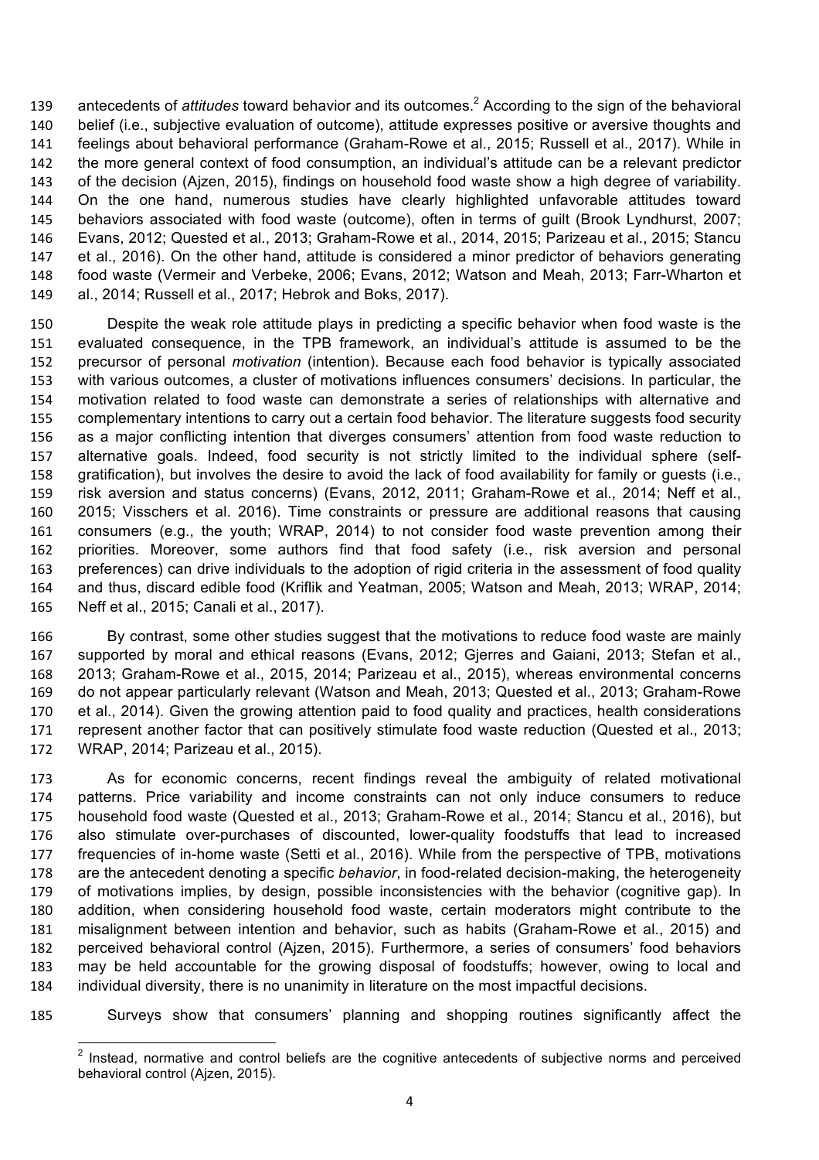139 antecedents of *attitudes* toward behavior and its outcomes.<sup>2</sup> According to the sign of the behavioral 140 belief (i.e., subjective evaluation of outcome), attitude expresses positive or aversive thoughts and feelings about behavioral performance (Graham-Rowe et al., 2015; Russell et al., 2017). While in the more general context of food consumption, an individual's attitude can be a relevant predictor of the decision (Ajzen, 2015), findings on household food waste show a high degree of variability. On the one hand, numerous studies have clearly highlighted unfavorable attitudes toward behaviors associated with food waste (outcome), often in terms of guilt (Brook Lyndhurst, 2007; Evans, 2012; Quested et al., 2013; Graham-Rowe et al., 2014, 2015; Parizeau et al., 2015; Stancu et al., 2016). On the other hand, attitude is considered a minor predictor of behaviors generating food waste (Vermeir and Verbeke, 2006; Evans, 2012; Watson and Meah, 2013; Farr-Wharton et al., 2014; Russell et al., 2017; Hebrok and Boks, 2017).

 Despite the weak role attitude plays in predicting a specific behavior when food waste is the evaluated consequence, in the TPB framework, an individual's attitude is assumed to be the precursor of personal *motivation* (intention). Because each food behavior is typically associated with various outcomes, a cluster of motivations influences consumers' decisions. In particular, the motivation related to food waste can demonstrate a series of relationships with alternative and complementary intentions to carry out a certain food behavior. The literature suggests food security as a major conflicting intention that diverges consumers' attention from food waste reduction to alternative goals. Indeed, food security is not strictly limited to the individual sphere (self- gratification), but involves the desire to avoid the lack of food availability for family or guests (i.e., risk aversion and status concerns) (Evans, 2012, 2011; Graham-Rowe et al., 2014; Neff et al., 2015; Visschers et al. 2016). Time constraints or pressure are additional reasons that causing consumers (e.g., the youth; WRAP, 2014) to not consider food waste prevention among their priorities. Moreover, some authors find that food safety (i.e., risk aversion and personal preferences) can drive individuals to the adoption of rigid criteria in the assessment of food quality and thus, discard edible food (Kriflik and Yeatman, 2005; Watson and Meah, 2013; WRAP, 2014; Neff et al., 2015; Canali et al., 2017).

 By contrast, some other studies suggest that the motivations to reduce food waste are mainly supported by moral and ethical reasons (Evans, 2012; Gjerres and Gaiani, 2013; Stefan et al., 2013; Graham-Rowe et al., 2015, 2014; Parizeau et al., 2015), whereas environmental concerns do not appear particularly relevant (Watson and Meah, 2013; Quested et al., 2013; Graham-Rowe et al., 2014). Given the growing attention paid to food quality and practices, health considerations represent another factor that can positively stimulate food waste reduction (Quested et al., 2013; WRAP, 2014; Parizeau et al., 2015).

 As for economic concerns, recent findings reveal the ambiguity of related motivational patterns. Price variability and income constraints can not only induce consumers to reduce household food waste (Quested et al., 2013; Graham-Rowe et al., 2014; Stancu et al., 2016), but also stimulate over-purchases of discounted, lower-quality foodstuffs that lead to increased frequencies of in-home waste (Setti et al., 2016). While from the perspective of TPB, motivations are the antecedent denoting a specific *behavior*, in food-related decision-making, the heterogeneity of motivations implies, by design, possible inconsistencies with the behavior (cognitive gap). In addition, when considering household food waste, certain moderators might contribute to the misalignment between intention and behavior, such as habits (Graham-Rowe et al., 2015) and perceived behavioral control (Ajzen, 2015). Furthermore, a series of consumers' food behaviors may be held accountable for the growing disposal of foodstuffs; however, owing to local and individual diversity, there is no unanimity in literature on the most impactful decisions.

Surveys show that consumers' planning and shopping routines significantly affect the

<sup>&</sup>lt;sup>2</sup> Instead, normative and control beliefs are the cognitive antecedents of subjective norms and perceived behavioral control (Ajzen, 2015).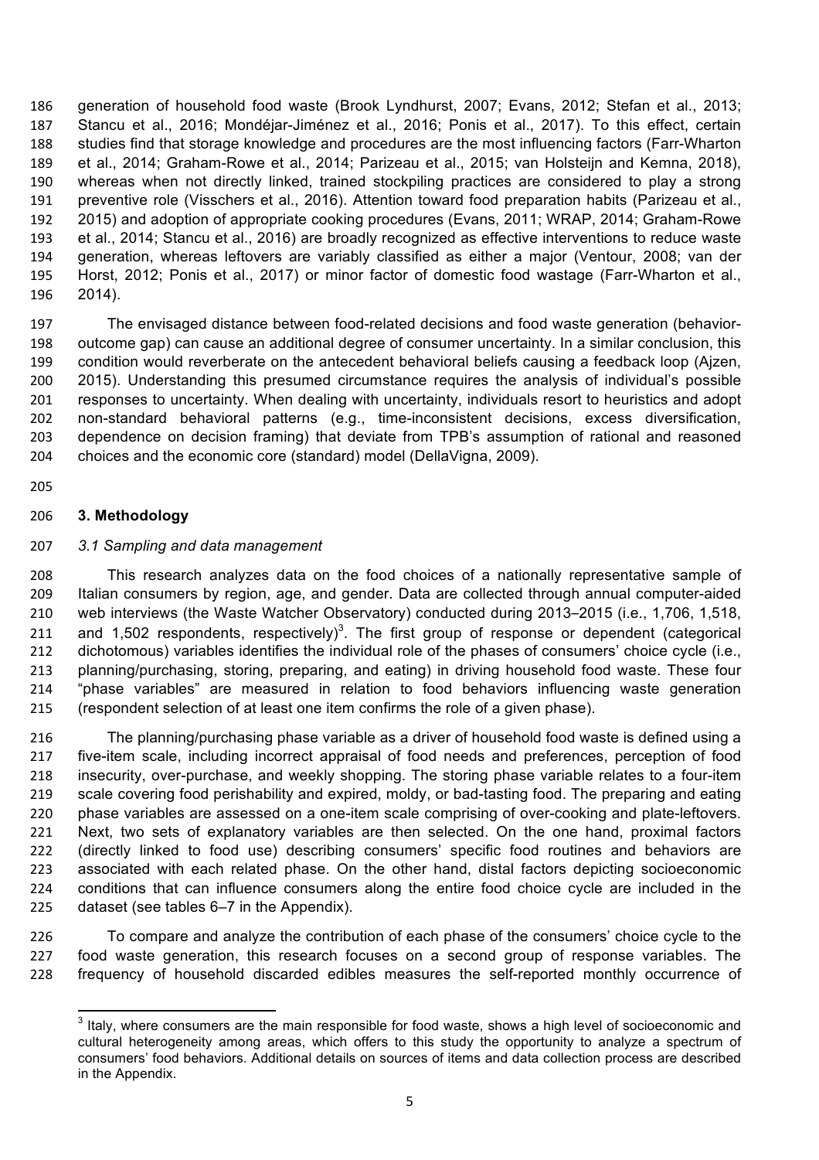generation of household food waste (Brook Lyndhurst, 2007; Evans, 2012; Stefan et al., 2013; Stancu et al., 2016; Mondéjar-Jiménez et al., 2016; Ponis et al., 2017). To this effect, certain studies find that storage knowledge and procedures are the most influencing factors (Farr-Wharton et al., 2014; Graham-Rowe et al., 2014; Parizeau et al., 2015; van Holsteijn and Kemna, 2018), whereas when not directly linked, trained stockpiling practices are considered to play a strong preventive role (Visschers et al., 2016). Attention toward food preparation habits (Parizeau et al., 2015) and adoption of appropriate cooking procedures (Evans, 2011; WRAP, 2014; Graham-Rowe et al., 2014; Stancu et al., 2016) are broadly recognized as effective interventions to reduce waste generation, whereas leftovers are variably classified as either a major (Ventour, 2008; van der Horst, 2012; Ponis et al., 2017) or minor factor of domestic food wastage (Farr-Wharton et al., 2014).

 The envisaged distance between food-related decisions and food waste generation (behavior- outcome gap) can cause an additional degree of consumer uncertainty. In a similar conclusion, this condition would reverberate on the antecedent behavioral beliefs causing a feedback loop (Ajzen, 2015). Understanding this presumed circumstance requires the analysis of individual's possible responses to uncertainty. When dealing with uncertainty, individuals resort to heuristics and adopt non-standard behavioral patterns (e.g., time-inconsistent decisions, excess diversification, dependence on decision framing) that deviate from TPB's assumption of rational and reasoned choices and the economic core (standard) model (DellaVigna, 2009).

#### **3. Methodology**

#### *3.1 Sampling and data management*

 This research analyzes data on the food choices of a nationally representative sample of Italian consumers by region, age, and gender. Data are collected through annual computer-aided web interviews (the Waste Watcher Observatory) conducted during 2013–2015 (i.e., 1,706, 1,518, 211 and 1,502 respondents, respectively)<sup>3</sup>. The first group of response or dependent (categorical dichotomous) variables identifies the individual role of the phases of consumers' choice cycle (i.e., planning/purchasing, storing, preparing, and eating) in driving household food waste. These four "phase variables" are measured in relation to food behaviors influencing waste generation (respondent selection of at least one item confirms the role of a given phase).

 The planning/purchasing phase variable as a driver of household food waste is defined using a five-item scale, including incorrect appraisal of food needs and preferences, perception of food insecurity, over-purchase, and weekly shopping. The storing phase variable relates to a four-item scale covering food perishability and expired, moldy, or bad-tasting food. The preparing and eating phase variables are assessed on a one-item scale comprising of over-cooking and plate-leftovers. Next, two sets of explanatory variables are then selected. On the one hand, proximal factors (directly linked to food use) describing consumers' specific food routines and behaviors are associated with each related phase. On the other hand, distal factors depicting socioeconomic conditions that can influence consumers along the entire food choice cycle are included in the dataset (see tables 6–7 in the Appendix).

 To compare and analyze the contribution of each phase of the consumers' choice cycle to the food waste generation, this research focuses on a second group of response variables. The frequency of household discarded edibles measures the self-reported monthly occurrence of

 Italv. where consumers are the main responsible for food waste, shows a high level of socioeconomic and cultural heterogeneity among areas, which offers to this study the opportunity to analyze a spectrum of consumers' food behaviors. Additional details on sources of items and data collection process are described in the Appendix.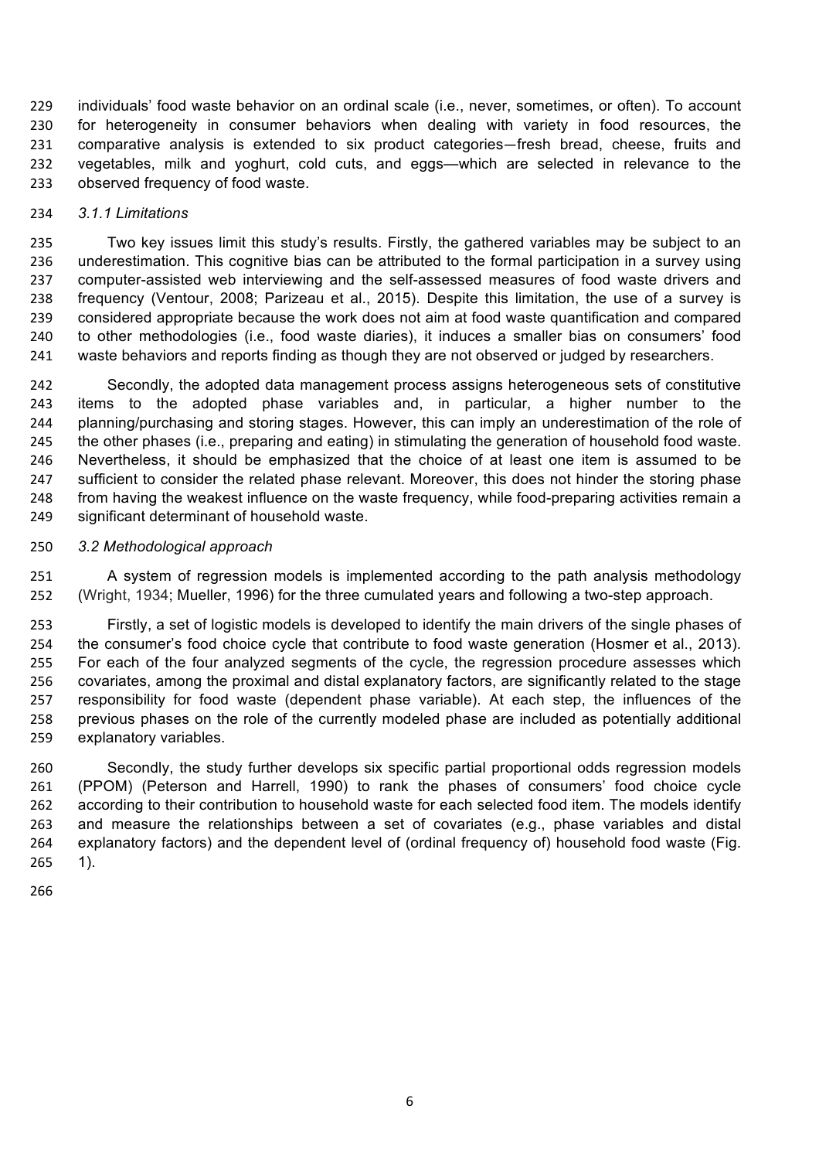individuals' food waste behavior on an ordinal scale (i.e., never, sometimes, or often). To account for heterogeneity in consumer behaviors when dealing with variety in food resources, the comparative analysis is extended to six product categories—fresh bread, cheese, fruits and vegetables, milk and yoghurt, cold cuts, and eggs—which are selected in relevance to the observed frequency of food waste.

#### *3.1.1 Limitations*

 Two key issues limit this study's results. Firstly, the gathered variables may be subject to an underestimation. This cognitive bias can be attributed to the formal participation in a survey using computer-assisted web interviewing and the self-assessed measures of food waste drivers and frequency (Ventour, 2008; Parizeau et al., 2015). Despite this limitation, the use of a survey is considered appropriate because the work does not aim at food waste quantification and compared to other methodologies (i.e., food waste diaries), it induces a smaller bias on consumers' food waste behaviors and reports finding as though they are not observed or judged by researchers.

 Secondly, the adopted data management process assigns heterogeneous sets of constitutive items to the adopted phase variables and, in particular, a higher number to the planning/purchasing and storing stages. However, this can imply an underestimation of the role of the other phases (i.e., preparing and eating) in stimulating the generation of household food waste. Nevertheless, it should be emphasized that the choice of at least one item is assumed to be sufficient to consider the related phase relevant. Moreover, this does not hinder the storing phase from having the weakest influence on the waste frequency, while food-preparing activities remain a significant determinant of household waste.

#### *3.2 Methodological approach*

 A system of regression models is implemented according to the path analysis methodology (Wright, 1934; Mueller, 1996) for the three cumulated years and following a two-step approach.

 Firstly, a set of logistic models is developed to identify the main drivers of the single phases of the consumer's food choice cycle that contribute to food waste generation (Hosmer et al., 2013). For each of the four analyzed segments of the cycle, the regression procedure assesses which covariates, among the proximal and distal explanatory factors, are significantly related to the stage responsibility for food waste (dependent phase variable). At each step, the influences of the previous phases on the role of the currently modeled phase are included as potentially additional explanatory variables.

 Secondly, the study further develops six specific partial proportional odds regression models (PPOM) (Peterson and Harrell, 1990) to rank the phases of consumers' food choice cycle according to their contribution to household waste for each selected food item. The models identify and measure the relationships between a set of covariates (e.g., phase variables and distal explanatory factors) and the dependent level of (ordinal frequency of) household food waste (Fig. 1).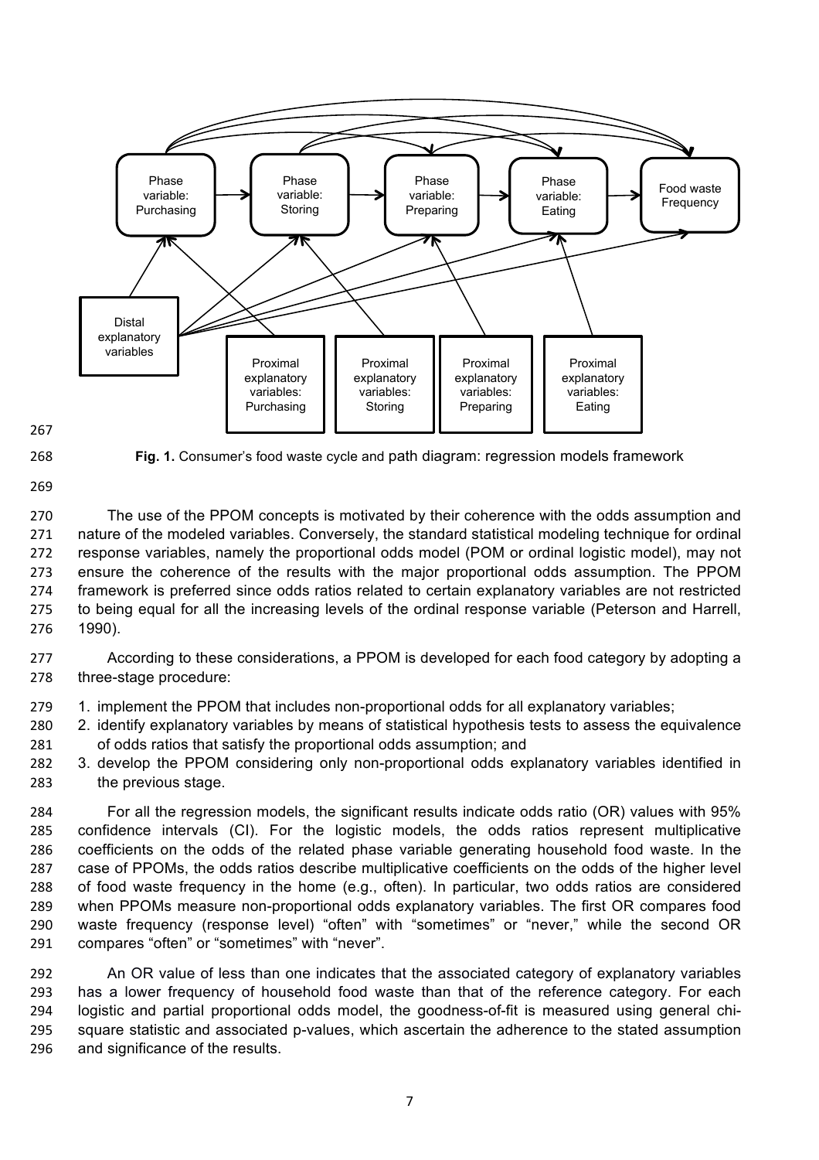

267

268 **Fig. 1.** Consumer's food waste cycle and path diagram: regression models framework

```
269
```
 The use of the PPOM concepts is motivated by their coherence with the odds assumption and nature of the modeled variables. Conversely, the standard statistical modeling technique for ordinal response variables, namely the proportional odds model (POM or ordinal logistic model), may not ensure the coherence of the results with the major proportional odds assumption. The PPOM framework is preferred since odds ratios related to certain explanatory variables are not restricted to being equal for all the increasing levels of the ordinal response variable (Peterson and Harrell, 276 1990).

277 According to these considerations, a PPOM is developed for each food category by adopting a 278 three-stage procedure:

279 1. implement the PPOM that includes non-proportional odds for all explanatory variables;

280 2. identify explanatory variables by means of statistical hypothesis tests to assess the equivalence 281 of odds ratios that satisfy the proportional odds assumption; and

282 3. develop the PPOM considering only non-proportional odds explanatory variables identified in 283 the previous stage.

 For all the regression models, the significant results indicate odds ratio (OR) values with 95% confidence intervals (CI). For the logistic models, the odds ratios represent multiplicative coefficients on the odds of the related phase variable generating household food waste. In the case of PPOMs, the odds ratios describe multiplicative coefficients on the odds of the higher level of food waste frequency in the home (e.g., often). In particular, two odds ratios are considered when PPOMs measure non-proportional odds explanatory variables. The first OR compares food waste frequency (response level) "often" with "sometimes" or "never," while the second OR compares "often" or "sometimes" with "never".

 An OR value of less than one indicates that the associated category of explanatory variables has a lower frequency of household food waste than that of the reference category. For each logistic and partial proportional odds model, the goodness-of-fit is measured using general chi- square statistic and associated p-values, which ascertain the adherence to the stated assumption 296 and significance of the results.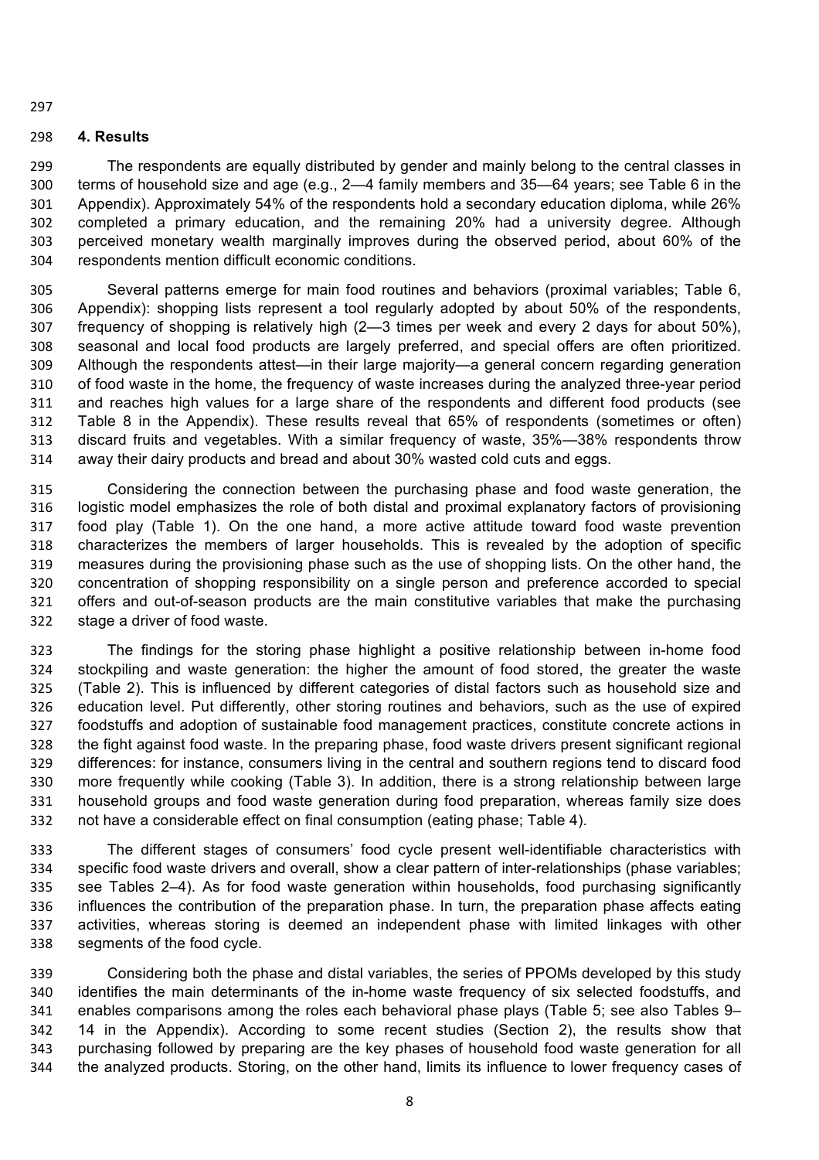### **4. Results**

 The respondents are equally distributed by gender and mainly belong to the central classes in terms of household size and age (e.g., 2—4 family members and 35—64 years; see Table 6 in the Appendix). Approximately 54% of the respondents hold a secondary education diploma, while 26% completed a primary education, and the remaining 20% had a university degree. Although perceived monetary wealth marginally improves during the observed period, about 60% of the respondents mention difficult economic conditions.

 Several patterns emerge for main food routines and behaviors (proximal variables; Table 6, Appendix): shopping lists represent a tool regularly adopted by about 50% of the respondents, frequency of shopping is relatively high (2—3 times per week and every 2 days for about 50%), seasonal and local food products are largely preferred, and special offers are often prioritized. Although the respondents attest—in their large majority—a general concern regarding generation of food waste in the home, the frequency of waste increases during the analyzed three-year period and reaches high values for a large share of the respondents and different food products (see Table 8 in the Appendix). These results reveal that 65% of respondents (sometimes or often) discard fruits and vegetables. With a similar frequency of waste, 35%—38% respondents throw away their dairy products and bread and about 30% wasted cold cuts and eggs.

 Considering the connection between the purchasing phase and food waste generation, the logistic model emphasizes the role of both distal and proximal explanatory factors of provisioning food play (Table 1). On the one hand, a more active attitude toward food waste prevention characterizes the members of larger households. This is revealed by the adoption of specific measures during the provisioning phase such as the use of shopping lists. On the other hand, the concentration of shopping responsibility on a single person and preference accorded to special offers and out-of-season products are the main constitutive variables that make the purchasing stage a driver of food waste.

 The findings for the storing phase highlight a positive relationship between in-home food stockpiling and waste generation: the higher the amount of food stored, the greater the waste (Table 2). This is influenced by different categories of distal factors such as household size and education level. Put differently, other storing routines and behaviors, such as the use of expired foodstuffs and adoption of sustainable food management practices, constitute concrete actions in the fight against food waste. In the preparing phase, food waste drivers present significant regional differences: for instance, consumers living in the central and southern regions tend to discard food more frequently while cooking (Table 3). In addition, there is a strong relationship between large household groups and food waste generation during food preparation, whereas family size does not have a considerable effect on final consumption (eating phase; Table 4).

 The different stages of consumers' food cycle present well-identifiable characteristics with specific food waste drivers and overall, show a clear pattern of inter-relationships (phase variables; see Tables 2–4). As for food waste generation within households, food purchasing significantly influences the contribution of the preparation phase. In turn, the preparation phase affects eating activities, whereas storing is deemed an independent phase with limited linkages with other segments of the food cycle.

 Considering both the phase and distal variables, the series of PPOMs developed by this study identifies the main determinants of the in-home waste frequency of six selected foodstuffs, and enables comparisons among the roles each behavioral phase plays (Table 5; see also Tables 9– 14 in the Appendix). According to some recent studies (Section 2), the results show that purchasing followed by preparing are the key phases of household food waste generation for all the analyzed products. Storing, on the other hand, limits its influence to lower frequency cases of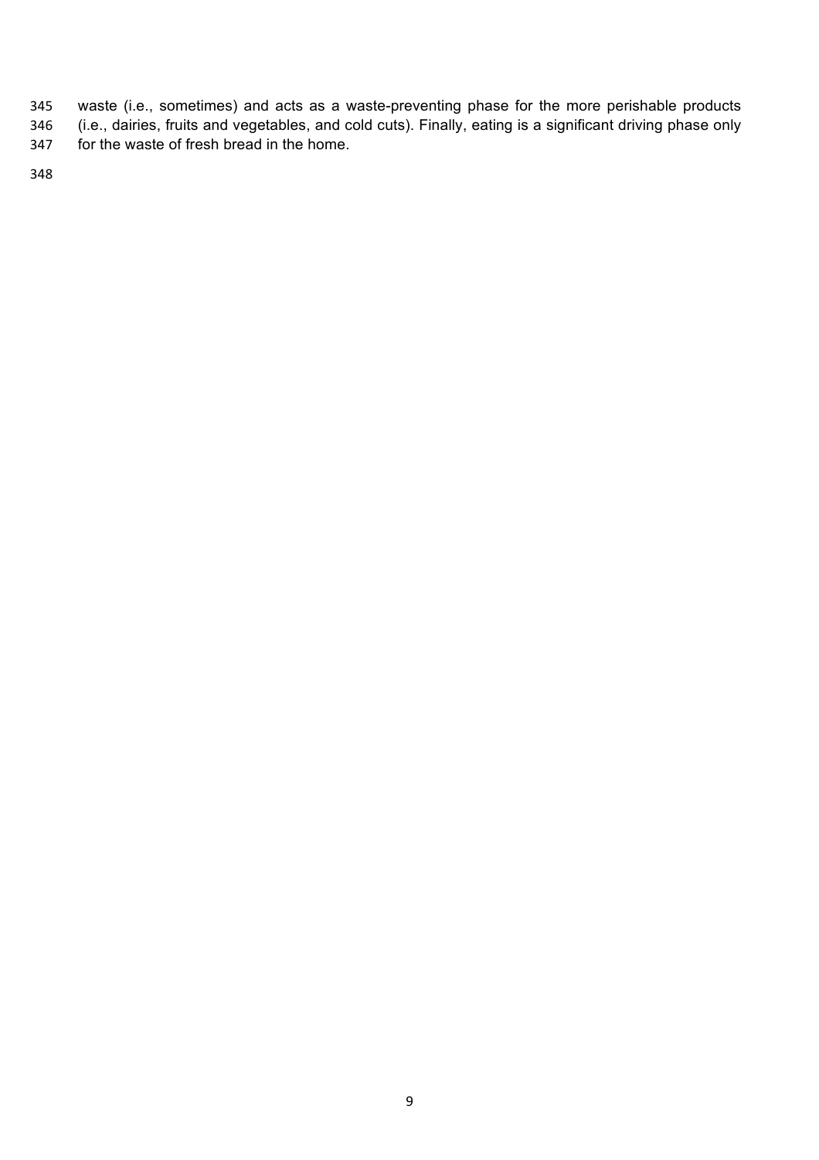waste (i.e., sometimes) and acts as a waste-preventing phase for the more perishable products (i.e., dairies, fruits and vegetables, and cold cuts). Finally, eating is a significant driving phase only for the waste of fresh bread in the home.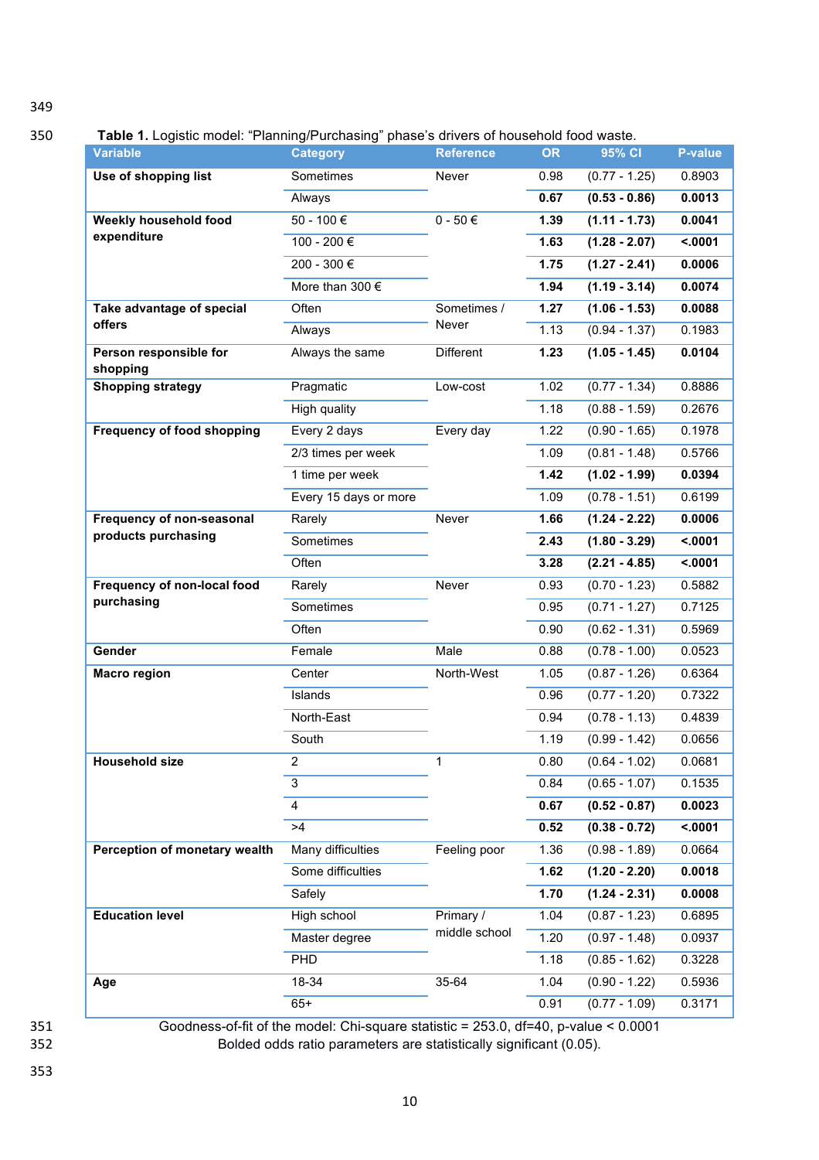| 350 | <b>Table 1.</b> Logistic model: "Planning/Purchasing" phase's drivers of household food waste. |  |  |
|-----|------------------------------------------------------------------------------------------------|--|--|
|     |                                                                                                |  |  |
|     |                                                                                                |  |  |

| <b>TWIS</b> In Edgloria model. I famility/I dibitdonly phase started of hodsenoid lood was<br><b>Variable</b> | <b>Category</b>       | <b>Reference</b> | <b>OR</b> | 95% CI          | <b>P-value</b> |
|---------------------------------------------------------------------------------------------------------------|-----------------------|------------------|-----------|-----------------|----------------|
| Use of shopping list                                                                                          | Sometimes             | Never            | 0.98      | $(0.77 - 1.25)$ | 0.8903         |
|                                                                                                               | Always                |                  | 0.67      | $(0.53 - 0.86)$ | 0.0013         |
| Weekly household food                                                                                         | 50 - 100€             | $0 - 50 \in$     | 1.39      | $(1.11 - 1.73)$ | 0.0041         |
| expenditure                                                                                                   | 100 - 200 €           |                  | 1.63      | $(1.28 - 2.07)$ | < .0001        |
|                                                                                                               | 200 - 300 €           |                  | 1.75      | $(1.27 - 2.41)$ | 0.0006         |
|                                                                                                               | More than 300 €       |                  | 1.94      | $(1.19 - 3.14)$ | 0.0074         |
| Take advantage of special                                                                                     | Often                 | Sometimes /      | 1.27      | $(1.06 - 1.53)$ | 0.0088         |
| offers                                                                                                        | Always                | Never            | 1.13      | $(0.94 - 1.37)$ | 0.1983         |
| Person responsible for<br>shopping                                                                            | Always the same       | <b>Different</b> | 1.23      | $(1.05 - 1.45)$ | 0.0104         |
| <b>Shopping strategy</b>                                                                                      | Pragmatic             | Low-cost         | 1.02      | $(0.77 - 1.34)$ | 0.8886         |
|                                                                                                               | High quality          |                  | 1.18      | $(0.88 - 1.59)$ | 0.2676         |
| <b>Frequency of food shopping</b>                                                                             | Every 2 days          | Every day        | 1.22      | $(0.90 - 1.65)$ | 0.1978         |
|                                                                                                               | $2/3$ times per week  |                  | 1.09      | $(0.81 - 1.48)$ | 0.5766         |
|                                                                                                               | 1 time per week       |                  | 1.42      | $(1.02 - 1.99)$ | 0.0394         |
|                                                                                                               | Every 15 days or more |                  | 1.09      | $(0.78 - 1.51)$ | 0.6199         |
| Frequency of non-seasonal                                                                                     | Rarely                | Never            | 1.66      | $(1.24 - 2.22)$ | 0.0006         |
| products purchasing                                                                                           | Sometimes             |                  | 2.43      | $(1.80 - 3.29)$ | < .0001        |
|                                                                                                               | Often                 |                  | 3.28      | $(2.21 - 4.85)$ | < .0001        |
| Frequency of non-local food                                                                                   | Rarely                | Never            | 0.93      | $(0.70 - 1.23)$ | 0.5882         |
| purchasing                                                                                                    | Sometimes             |                  | 0.95      | $(0.71 - 1.27)$ | 0.7125         |
|                                                                                                               | Often                 |                  | 0.90      | $(0.62 - 1.31)$ | 0.5969         |
| Gender                                                                                                        | Female                | Male             | 0.88      | $(0.78 - 1.00)$ | 0.0523         |
| <b>Macro region</b>                                                                                           | Center                | North-West       | 1.05      | $(0.87 - 1.26)$ | 0.6364         |
|                                                                                                               | Islands               |                  | 0.96      | $(0.77 - 1.20)$ | 0.7322         |
|                                                                                                               | North-East            |                  | 0.94      | $(0.78 - 1.13)$ | 0.4839         |
|                                                                                                               | South                 |                  | 1.19      | $(0.99 - 1.42)$ | 0.0656         |
| <b>Household size</b>                                                                                         | 2                     | 1                | 0.80      | $(0.64 - 1.02)$ | 0.0681         |
|                                                                                                               | $\mathbf{3}$          |                  | 0.84      | $(0.65 - 1.07)$ | 0.1535         |
|                                                                                                               | 4                     |                  | 0.67      | $(0.52 - 0.87)$ | 0.0023         |
|                                                                                                               | >4                    |                  | 0.52      | $(0.38 - 0.72)$ | < .0001        |
| Perception of monetary wealth                                                                                 | Many difficulties     | Feeling poor     | 1.36      | $(0.98 - 1.89)$ | 0.0664         |
|                                                                                                               | Some difficulties     |                  | 1.62      | $(1.20 - 2.20)$ | 0.0018         |
|                                                                                                               | Safely                |                  | 1.70      | $(1.24 - 2.31)$ | 0.0008         |
| <b>Education level</b>                                                                                        | High school           | Primary /        | 1.04      | $(0.87 - 1.23)$ | 0.6895         |
|                                                                                                               | Master degree         | middle school    | 1.20      | $(0.97 - 1.48)$ | 0.0937         |
|                                                                                                               | PHD                   |                  | 1.18      | $(0.85 - 1.62)$ | 0.3228         |
| Age                                                                                                           | 18-34                 | 35-64            | 1.04      | $(0.90 - 1.22)$ | 0.5936         |
|                                                                                                               | $65+$                 |                  | 0.91      | $(0.77 - 1.09)$ | 0.3171         |

351 Goodness-of-fit of the model: Chi-square statistic = 253.0, df=40, p-value < 0.0001<br>Bolded odds ratio parameters are statistically significant (0.05). Bolded odds ratio parameters are statistically significant (0.05).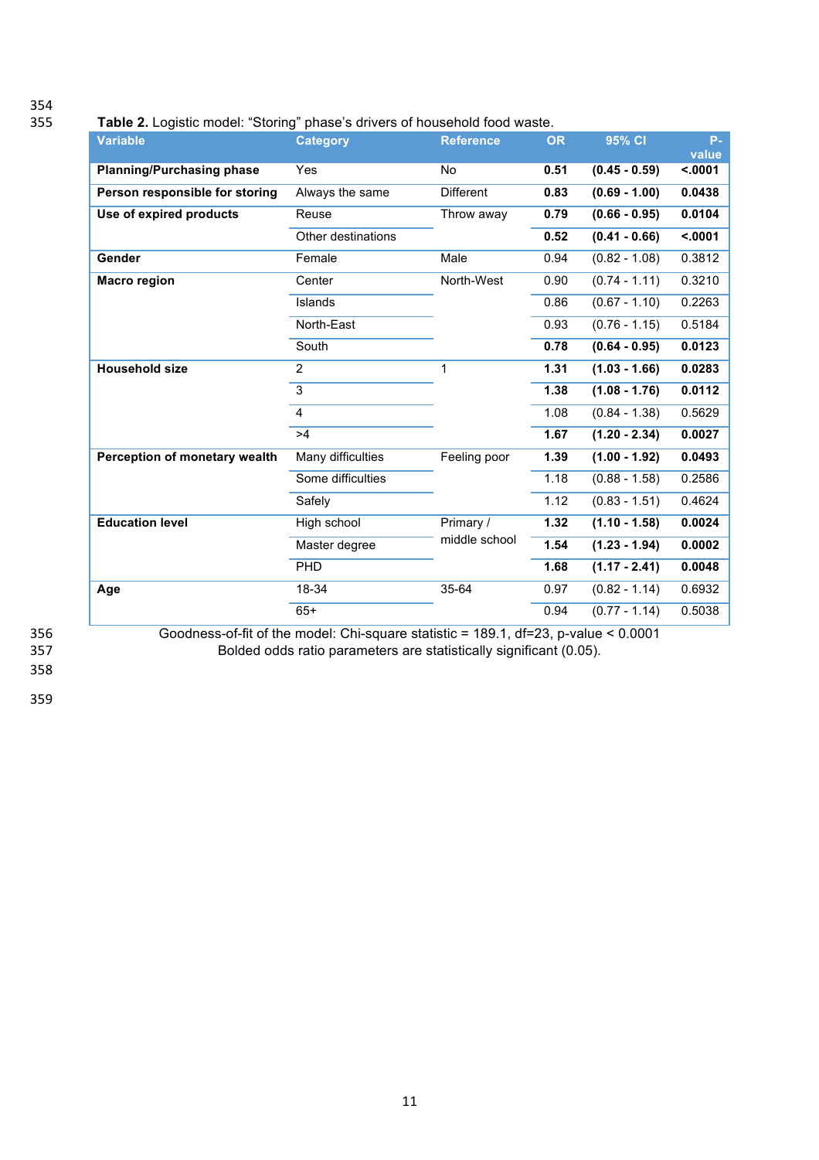354<br>355

| <b>Variable</b>                  | <b>Category</b>    | <b>Reference</b> | <b>OR</b> | 95% CI          |  |
|----------------------------------|--------------------|------------------|-----------|-----------------|--|
| <b>Planning/Purchasing phase</b> | Yes                | No               | 0.51      | $(0.45 - 0.59)$ |  |
|                                  |                    |                  |           |                 |  |
| Person responsible for storing   | Always the same    | <b>Different</b> | 0.83      | $(0.69 - 1.00)$ |  |
| Use of expired products          | Reuse              | Throw away       | 0.79      | $(0.66 - 0.95)$ |  |
|                                  | Other destinations |                  | 0.52      | $(0.41 - 0.66)$ |  |
| Gender                           | Female             | Male             | 0.94      | $(0.82 - 1.08)$ |  |
| <b>Macro region</b>              | Center             | North-West       | 0.90      | $(0.74 - 1.11)$ |  |
|                                  | <b>Islands</b>     |                  | 0.86      | $(0.67 - 1.10)$ |  |
|                                  | North-East         |                  | 0.93      | $(0.76 - 1.15)$ |  |
|                                  | South              |                  | 0.78      | $(0.64 - 0.95)$ |  |
| <b>Household size</b>            | $\overline{2}$     | 1                | 1.31      | $(1.03 - 1.66)$ |  |
|                                  | 3                  |                  | 1.38      | $(1.08 - 1.76)$ |  |
|                                  | 4                  |                  | 1.08      | $(0.84 - 1.38)$ |  |
|                                  | >4                 |                  | 1.67      | $(1.20 - 2.34)$ |  |
| Perception of monetary wealth    | Many difficulties  | Feeling poor     | 1.39      | $(1.00 - 1.92)$ |  |
|                                  | Some difficulties  |                  | 1.18      | $(0.88 - 1.58)$ |  |
|                                  | Safely             |                  | 1.12      | $(0.83 - 1.51)$ |  |
| <b>Education level</b>           | High school        | Primary /        | 1.32      | $(1.10 - 1.58)$ |  |
|                                  | Master degree      | middle school    | 1.54      | $(1.23 - 1.94)$ |  |
|                                  | <b>PHD</b>         |                  | 1.68      | $(1.17 - 2.41)$ |  |
| Age                              | $18 - 34$          | $35 - 64$        | 0.97      | $(0.82 - 1.14)$ |  |
|                                  | $65+$              |                  | 0.94      | $(0.77 - 1.14)$ |  |

#### Table 2. Logistic model: "Storing" phase's drivers of household food waste.

357 Bolded odds ratio parameters are statistically significant (0.05).

358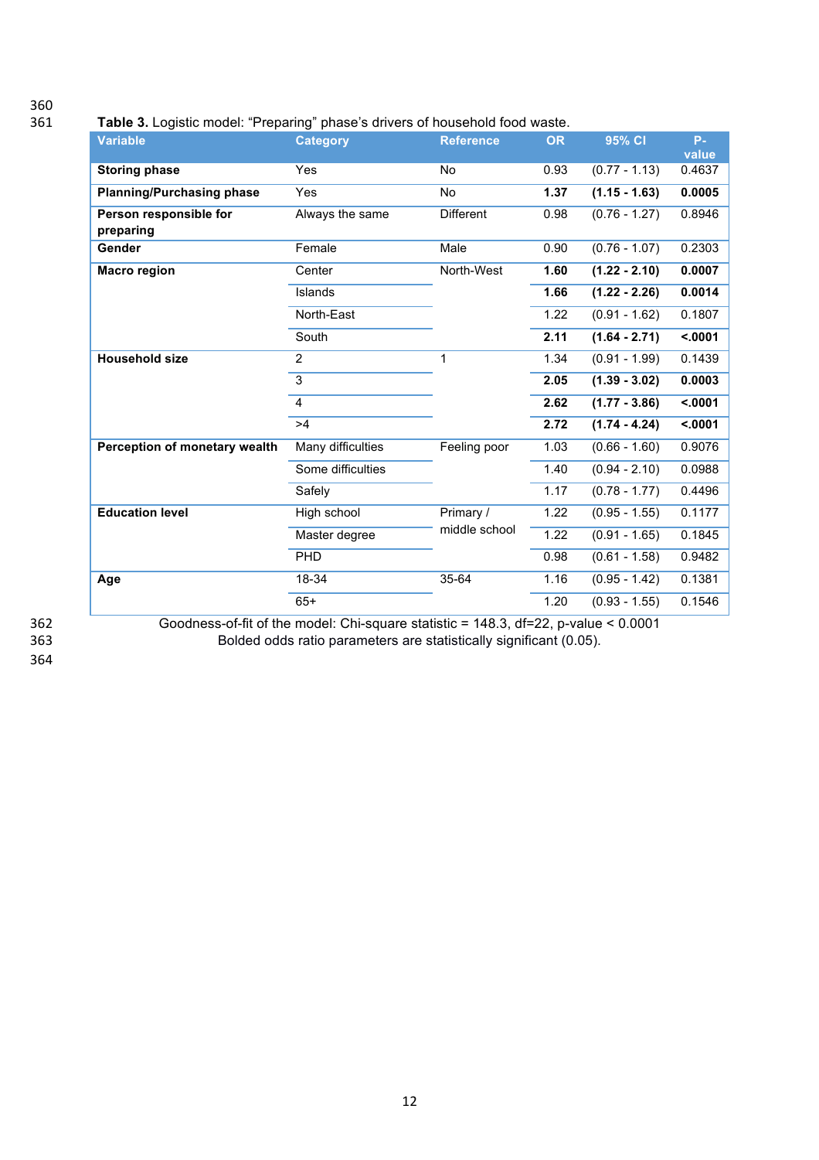# 360<br>361

| <b>Variable</b>                     | <b>Category</b>   | <b>Reference</b> | <b>OR</b> | 95% CI          | P-<br>value |
|-------------------------------------|-------------------|------------------|-----------|-----------------|-------------|
| <b>Storing phase</b>                | Yes               | No               | 0.93      | $(0.77 - 1.13)$ | 0.4637      |
| <b>Planning/Purchasing phase</b>    | Yes               | No               | 1.37      | $(1.15 - 1.63)$ | 0.0005      |
| Person responsible for<br>preparing | Always the same   | <b>Different</b> | 0.98      | $(0.76 - 1.27)$ | 0.8946      |
| Gender                              | Female            | Male             | 0.90      | $(0.76 - 1.07)$ | 0.2303      |
| <b>Macro region</b>                 | Center            | North-West       | 1.60      | $(1.22 - 2.10)$ | 0.0007      |
|                                     | Islands           |                  | 1.66      | $(1.22 - 2.26)$ | 0.0014      |
|                                     | North-East        |                  | 1.22      | $(0.91 - 1.62)$ | 0.1807      |
|                                     | South             |                  | 2.11      | $(1.64 - 2.71)$ | < .0001     |
| <b>Household size</b>               | $\overline{2}$    | 1                | 1.34      | $(0.91 - 1.99)$ | 0.1439      |
|                                     | 3                 |                  | 2.05      | $(1.39 - 3.02)$ | 0.0003      |
|                                     | 4                 |                  | 2.62      | $(1.77 - 3.86)$ | < .0001     |
|                                     | >4                |                  | 2.72      | $(1.74 - 4.24)$ | < .0001     |
| Perception of monetary wealth       | Many difficulties | Feeling poor     | 1.03      | $(0.66 - 1.60)$ | 0.9076      |
|                                     | Some difficulties |                  | 1.40      | $(0.94 - 2.10)$ | 0.0988      |
|                                     | Safely            |                  | 1.17      | $(0.78 - 1.77)$ | 0.4496      |
| <b>Education level</b>              | High school       | Primary /        | 1.22      | $(0.95 - 1.55)$ | 0.1177      |
|                                     | Master degree     | middle school    | 1.22      | $(0.91 - 1.65)$ | 0.1845      |
|                                     | <b>PHD</b>        |                  | 0.98      | $(0.61 - 1.58)$ | 0.9482      |
| Age                                 | 18-34             | 35-64            | 1.16      | $(0.95 - 1.42)$ | 0.1381      |
|                                     | $65+$             |                  | 1.20      | $(0.93 - 1.55)$ | 0.1546      |

#### Table 3. Logistic model: "Preparing" phase's drivers of household food waste.

362 Goodness-of-fit of the model: Chi-square statistic = 148.3, df=22, p-value < 0.0001 363 Bolded odds ratio parameters are statistically significant (0.05).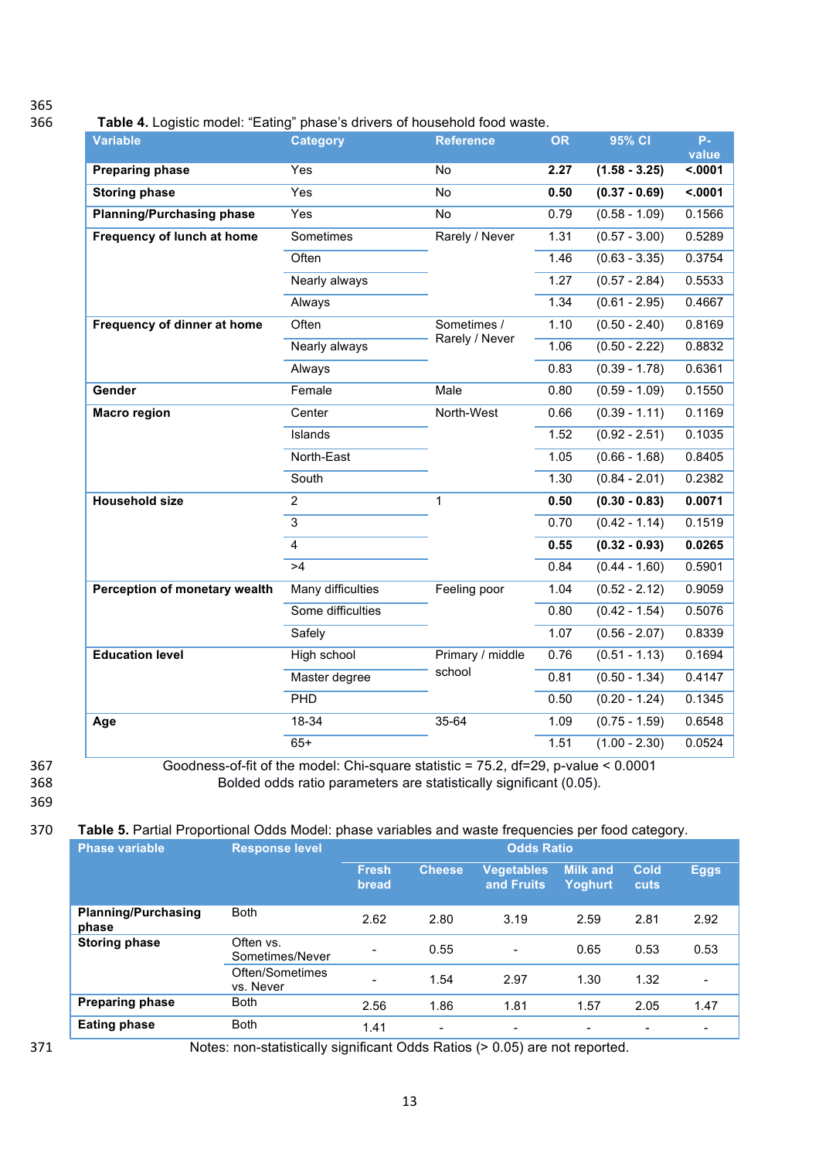| 366 |  | Table 4. Logistic model: "Eating" phase's drivers of household food waste. |
|-----|--|----------------------------------------------------------------------------|
|     |  |                                                                            |

| <b>IV T.</b> Logicilo model. Lating phase stanvers or nodochoid lood waste.<br><b>Variable</b> | <b>Category</b>   | <b>Reference</b> | <b>OR</b> | 95% CI          | P-      |
|------------------------------------------------------------------------------------------------|-------------------|------------------|-----------|-----------------|---------|
|                                                                                                |                   |                  |           |                 | value   |
| <b>Preparing phase</b>                                                                         | Yes               | No               | 2.27      | $(1.58 - 3.25)$ | < .0001 |
| <b>Storing phase</b>                                                                           | Yes               | No               | 0.50      | $(0.37 - 0.69)$ | < .0001 |
| <b>Planning/Purchasing phase</b>                                                               | Yes               | No               | 0.79      | $(0.58 - 1.09)$ | 0.1566  |
| Frequency of lunch at home                                                                     | Sometimes         | Rarely / Never   | 1.31      | $(0.57 - 3.00)$ | 0.5289  |
|                                                                                                | Often             |                  | 1.46      | $(0.63 - 3.35)$ | 0.3754  |
|                                                                                                | Nearly always     |                  | 1.27      | $(0.57 - 2.84)$ | 0.5533  |
|                                                                                                | Always            |                  | 1.34      | $(0.61 - 2.95)$ | 0.4667  |
| Frequency of dinner at home                                                                    | Often             | Sometimes /      | 1.10      | $(0.50 - 2.40)$ | 0.8169  |
|                                                                                                | Nearly always     | Rarely / Never   | 1.06      | $(0.50 - 2.22)$ | 0.8832  |
|                                                                                                | Always            |                  | 0.83      | $(0.39 - 1.78)$ | 0.6361  |
| Gender                                                                                         | Female            | Male             | 0.80      | $(0.59 - 1.09)$ | 0.1550  |
| <b>Macro region</b>                                                                            | Center            | North-West       | 0.66      | $(0.39 - 1.11)$ | 0.1169  |
|                                                                                                | Islands           |                  | 1.52      | $(0.92 - 2.51)$ | 0.1035  |
|                                                                                                | North-East        |                  | 1.05      | $(0.66 - 1.68)$ | 0.8405  |
|                                                                                                | South             |                  | 1.30      | $(0.84 - 2.01)$ | 0.2382  |
| <b>Household size</b>                                                                          | $\overline{2}$    | $\mathbf{1}$     | 0.50      | $(0.30 - 0.83)$ | 0.0071  |
|                                                                                                | $\overline{3}$    |                  | 0.70      | $(0.42 - 1.14)$ | 0.1519  |
|                                                                                                | $\overline{4}$    |                  | 0.55      | $(0.32 - 0.93)$ | 0.0265  |
|                                                                                                | >4                |                  | 0.84      | $(0.44 - 1.60)$ | 0.5901  |
| Perception of monetary wealth                                                                  | Many difficulties | Feeling poor     | 1.04      | $(0.52 - 2.12)$ | 0.9059  |
|                                                                                                | Some difficulties |                  | 0.80      | $(0.42 - 1.54)$ | 0.5076  |
|                                                                                                | Safely            |                  | 1.07      | $(0.56 - 2.07)$ | 0.8339  |
| <b>Education level</b>                                                                         | High school       | Primary / middle | 0.76      | $(0.51 - 1.13)$ | 0.1694  |
|                                                                                                | Master degree     | school           | 0.81      | $(0.50 - 1.34)$ | 0.4147  |
|                                                                                                | PHD               |                  | 0.50      | $(0.20 - 1.24)$ | 0.1345  |
| Age                                                                                            | 18-34             | $35 - 64$        | 1.09      | $(0.75 - 1.59)$ | 0.6548  |
|                                                                                                | $65+$             |                  | 1.51      | $(1.00 - 2.30)$ | 0.0524  |

367 Goodness-of-fit of the model: Chi-square statistic = 75.2, df=29, p-value < 0.0001 368 Bolded odds ratio parameters are statistically significant (0.05).

369

## 370 **Table 5.** Partial Proportional Odds Model: phase variables and waste frequencies per food category.

| <b>Phase variable</b>               | <b>Response level</b>        | $\tilde{}$<br><b>Odds Ratio</b> |                 |                                 |                            |                            |             |
|-------------------------------------|------------------------------|---------------------------------|-----------------|---------------------------------|----------------------------|----------------------------|-------------|
|                                     |                              | <b>Fresh</b><br><b>bread</b>    | <b>Cheese</b>   | <b>Vegetables</b><br>and Fruits | <b>Milk and</b><br>Yoghurt | <b>Cold</b><br><b>cuts</b> | <b>Eggs</b> |
| <b>Planning/Purchasing</b><br>phase | <b>Both</b>                  | 2.62                            | 2.80            | 3.19                            | 2.59                       | 2.81                       | 2.92        |
| <b>Storing phase</b>                | Often vs.<br>Sometimes/Never |                                 | 0.55            |                                 | 0.65                       | 0.53                       | 0.53        |
|                                     | Often/Sometimes<br>vs. Never |                                 | 1.54            | 2.97                            | 1.30                       | 1.32                       |             |
| <b>Preparing phase</b>              | <b>Both</b>                  | 2.56                            | 1.86            | 1.81                            | 1.57                       | 2.05                       | 1.47        |
| <b>Eating phase</b>                 | <b>Both</b>                  | 1.41                            | $\qquad \qquad$ | -                               |                            |                            |             |

371 Notes: non-statistically significant Odds Ratios (> 0.05) are not reported.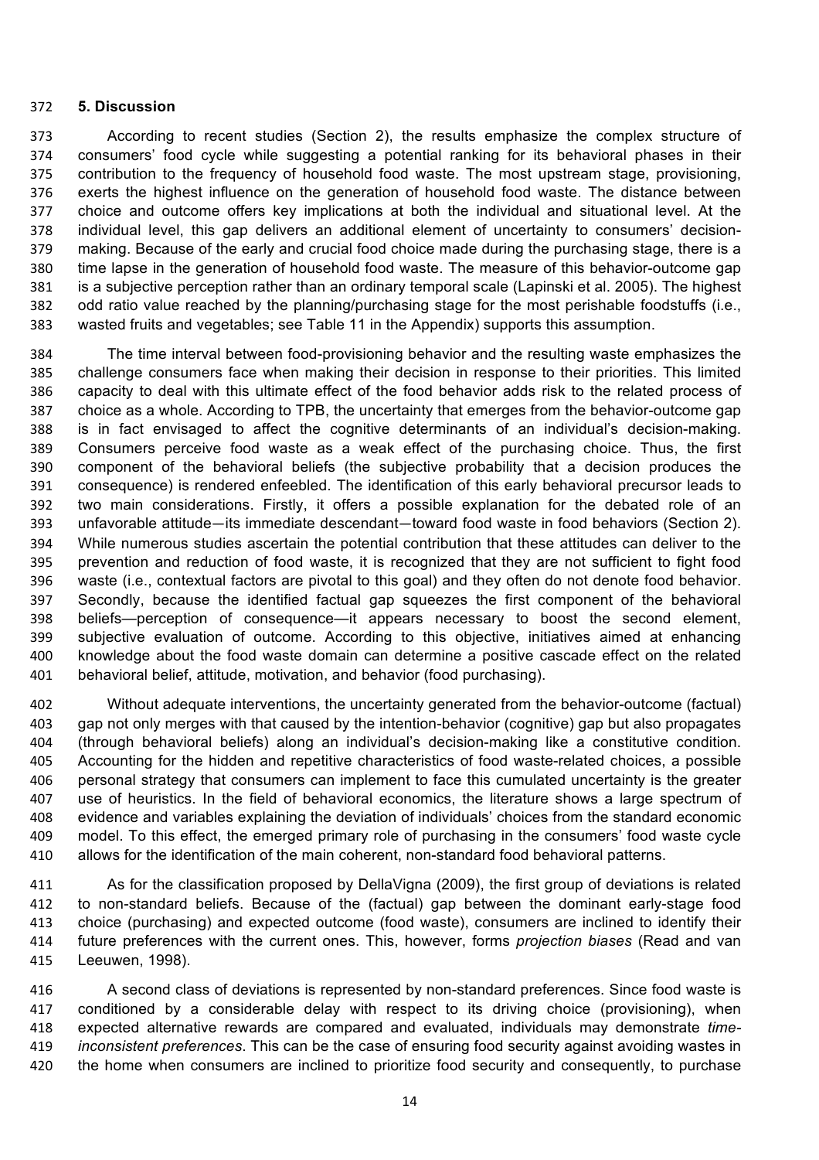#### **5. Discussion**

 According to recent studies (Section 2), the results emphasize the complex structure of consumers' food cycle while suggesting a potential ranking for its behavioral phases in their contribution to the frequency of household food waste. The most upstream stage, provisioning, exerts the highest influence on the generation of household food waste. The distance between choice and outcome offers key implications at both the individual and situational level. At the individual level, this gap delivers an additional element of uncertainty to consumers' decision- making. Because of the early and crucial food choice made during the purchasing stage, there is a time lapse in the generation of household food waste. The measure of this behavior-outcome gap is a subjective perception rather than an ordinary temporal scale (Lapinski et al. 2005). The highest odd ratio value reached by the planning/purchasing stage for the most perishable foodstuffs (i.e., wasted fruits and vegetables; see Table 11 in the Appendix) supports this assumption.

 The time interval between food-provisioning behavior and the resulting waste emphasizes the challenge consumers face when making their decision in response to their priorities. This limited capacity to deal with this ultimate effect of the food behavior adds risk to the related process of choice as a whole. According to TPB, the uncertainty that emerges from the behavior-outcome gap is in fact envisaged to affect the cognitive determinants of an individual's decision-making. Consumers perceive food waste as a weak effect of the purchasing choice. Thus, the first component of the behavioral beliefs (the subjective probability that a decision produces the consequence) is rendered enfeebled. The identification of this early behavioral precursor leads to two main considerations. Firstly, it offers a possible explanation for the debated role of an unfavorable attitude—its immediate descendant—toward food waste in food behaviors (Section 2). While numerous studies ascertain the potential contribution that these attitudes can deliver to the prevention and reduction of food waste, it is recognized that they are not sufficient to fight food waste (i.e., contextual factors are pivotal to this goal) and they often do not denote food behavior. Secondly, because the identified factual gap squeezes the first component of the behavioral beliefs—perception of consequence—it appears necessary to boost the second element, subjective evaluation of outcome. According to this objective, initiatives aimed at enhancing knowledge about the food waste domain can determine a positive cascade effect on the related behavioral belief, attitude, motivation, and behavior (food purchasing).

 Without adequate interventions, the uncertainty generated from the behavior-outcome (factual) gap not only merges with that caused by the intention-behavior (cognitive) gap but also propagates (through behavioral beliefs) along an individual's decision-making like a constitutive condition. Accounting for the hidden and repetitive characteristics of food waste-related choices, a possible personal strategy that consumers can implement to face this cumulated uncertainty is the greater use of heuristics. In the field of behavioral economics, the literature shows a large spectrum of evidence and variables explaining the deviation of individuals' choices from the standard economic model. To this effect, the emerged primary role of purchasing in the consumers' food waste cycle allows for the identification of the main coherent, non-standard food behavioral patterns.

 As for the classification proposed by DellaVigna (2009), the first group of deviations is related to non-standard beliefs. Because of the (factual) gap between the dominant early-stage food choice (purchasing) and expected outcome (food waste), consumers are inclined to identify their future preferences with the current ones. This, however, forms *projection biases* (Read and van Leeuwen, 1998).

 A second class of deviations is represented by non-standard preferences. Since food waste is conditioned by a considerable delay with respect to its driving choice (provisioning), when expected alternative rewards are compared and evaluated, individuals may demonstrate *time- inconsistent preferences*. This can be the case of ensuring food security against avoiding wastes in 420 the home when consumers are inclined to prioritize food security and consequently, to purchase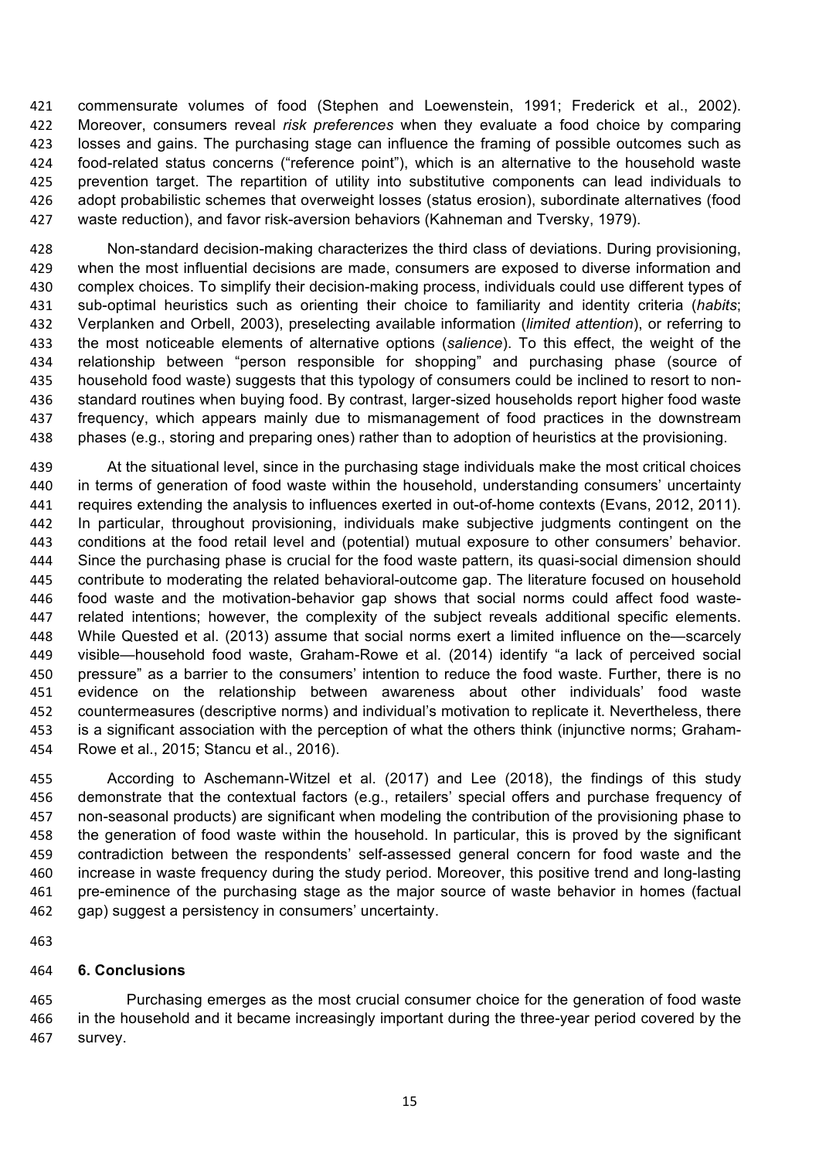commensurate volumes of food (Stephen and Loewenstein, 1991; Frederick et al., 2002). Moreover, consumers reveal *risk preferences* when they evaluate a food choice by comparing losses and gains. The purchasing stage can influence the framing of possible outcomes such as food-related status concerns ("reference point"), which is an alternative to the household waste prevention target. The repartition of utility into substitutive components can lead individuals to adopt probabilistic schemes that overweight losses (status erosion), subordinate alternatives (food waste reduction), and favor risk-aversion behaviors (Kahneman and Tversky, 1979).

 Non-standard decision-making characterizes the third class of deviations. During provisioning, when the most influential decisions are made, consumers are exposed to diverse information and complex choices. To simplify their decision-making process, individuals could use different types of sub-optimal heuristics such as orienting their choice to familiarity and identity criteria (*habits*; Verplanken and Orbell, 2003), preselecting available information (*limited attention*), or referring to the most noticeable elements of alternative options (*salience*). To this effect, the weight of the relationship between "person responsible for shopping" and purchasing phase (source of household food waste) suggests that this typology of consumers could be inclined to resort to non- standard routines when buying food. By contrast, larger-sized households report higher food waste frequency, which appears mainly due to mismanagement of food practices in the downstream phases (e.g., storing and preparing ones) rather than to adoption of heuristics at the provisioning.

 At the situational level, since in the purchasing stage individuals make the most critical choices in terms of generation of food waste within the household, understanding consumers' uncertainty requires extending the analysis to influences exerted in out-of-home contexts (Evans, 2012, 2011). In particular, throughout provisioning, individuals make subjective judgments contingent on the conditions at the food retail level and (potential) mutual exposure to other consumers' behavior. Since the purchasing phase is crucial for the food waste pattern, its quasi-social dimension should contribute to moderating the related behavioral-outcome gap. The literature focused on household food waste and the motivation-behavior gap shows that social norms could affect food waste- related intentions; however, the complexity of the subject reveals additional specific elements. While Quested et al. (2013) assume that social norms exert a limited influence on the—scarcely visible—household food waste, Graham-Rowe et al. (2014) identify "a lack of perceived social pressure" as a barrier to the consumers' intention to reduce the food waste. Further, there is no evidence on the relationship between awareness about other individuals' food waste countermeasures (descriptive norms) and individual's motivation to replicate it. Nevertheless, there is a significant association with the perception of what the others think (injunctive norms; Graham-Rowe et al., 2015; Stancu et al., 2016).

 According to Aschemann-Witzel et al. (2017) and Lee (2018), the findings of this study demonstrate that the contextual factors (e.g., retailers' special offers and purchase frequency of non-seasonal products) are significant when modeling the contribution of the provisioning phase to the generation of food waste within the household. In particular, this is proved by the significant contradiction between the respondents' self-assessed general concern for food waste and the increase in waste frequency during the study period. Moreover, this positive trend and long-lasting pre-eminence of the purchasing stage as the major source of waste behavior in homes (factual gap) suggest a persistency in consumers' uncertainty.

#### **6. Conclusions**

 Purchasing emerges as the most crucial consumer choice for the generation of food waste in the household and it became increasingly important during the three-year period covered by the survey.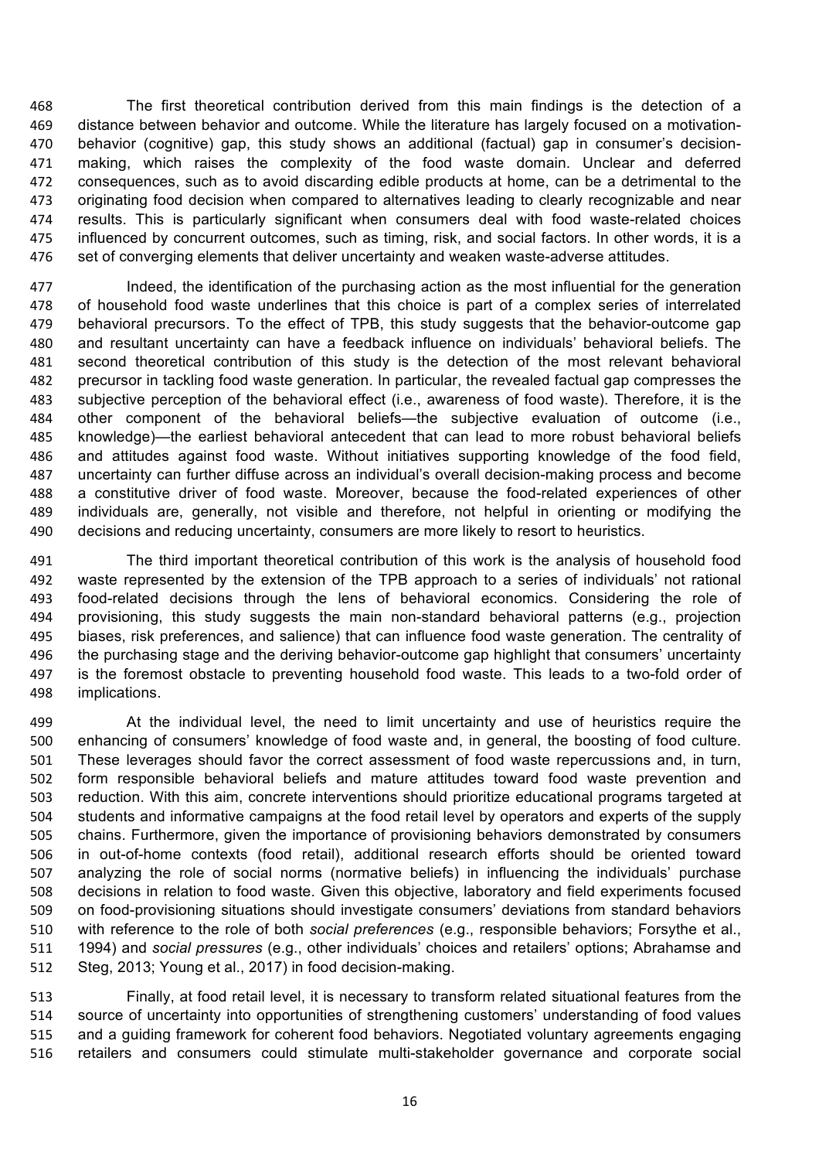The first theoretical contribution derived from this main findings is the detection of a distance between behavior and outcome. While the literature has largely focused on a motivation- behavior (cognitive) gap, this study shows an additional (factual) gap in consumer's decision- making, which raises the complexity of the food waste domain. Unclear and deferred consequences, such as to avoid discarding edible products at home, can be a detrimental to the originating food decision when compared to alternatives leading to clearly recognizable and near results. This is particularly significant when consumers deal with food waste-related choices influenced by concurrent outcomes, such as timing, risk, and social factors. In other words, it is a set of converging elements that deliver uncertainty and weaken waste-adverse attitudes.

 Indeed, the identification of the purchasing action as the most influential for the generation of household food waste underlines that this choice is part of a complex series of interrelated behavioral precursors. To the effect of TPB, this study suggests that the behavior-outcome gap and resultant uncertainty can have a feedback influence on individuals' behavioral beliefs. The second theoretical contribution of this study is the detection of the most relevant behavioral precursor in tackling food waste generation. In particular, the revealed factual gap compresses the subjective perception of the behavioral effect (i.e., awareness of food waste). Therefore, it is the other component of the behavioral beliefs—the subjective evaluation of outcome (i.e., knowledge)—the earliest behavioral antecedent that can lead to more robust behavioral beliefs and attitudes against food waste. Without initiatives supporting knowledge of the food field, uncertainty can further diffuse across an individual's overall decision-making process and become a constitutive driver of food waste. Moreover, because the food-related experiences of other individuals are, generally, not visible and therefore, not helpful in orienting or modifying the decisions and reducing uncertainty, consumers are more likely to resort to heuristics.

 The third important theoretical contribution of this work is the analysis of household food waste represented by the extension of the TPB approach to a series of individuals' not rational food-related decisions through the lens of behavioral economics. Considering the role of provisioning, this study suggests the main non-standard behavioral patterns (e.g., projection biases, risk preferences, and salience) that can influence food waste generation. The centrality of the purchasing stage and the deriving behavior-outcome gap highlight that consumers' uncertainty is the foremost obstacle to preventing household food waste. This leads to a two-fold order of implications.

 At the individual level, the need to limit uncertainty and use of heuristics require the enhancing of consumers' knowledge of food waste and, in general, the boosting of food culture. These leverages should favor the correct assessment of food waste repercussions and, in turn, form responsible behavioral beliefs and mature attitudes toward food waste prevention and reduction. With this aim, concrete interventions should prioritize educational programs targeted at students and informative campaigns at the food retail level by operators and experts of the supply chains. Furthermore, given the importance of provisioning behaviors demonstrated by consumers in out-of-home contexts (food retail), additional research efforts should be oriented toward analyzing the role of social norms (normative beliefs) in influencing the individuals' purchase decisions in relation to food waste. Given this objective, laboratory and field experiments focused on food-provisioning situations should investigate consumers' deviations from standard behaviors with reference to the role of both *social preferences* (e.g., responsible behaviors; Forsythe et al., 1994) and *social pressures* (e.g., other individuals' choices and retailers' options; Abrahamse and Steg, 2013; Young et al., 2017) in food decision-making.

 Finally, at food retail level, it is necessary to transform related situational features from the source of uncertainty into opportunities of strengthening customers' understanding of food values and a guiding framework for coherent food behaviors. Negotiated voluntary agreements engaging retailers and consumers could stimulate multi-stakeholder governance and corporate social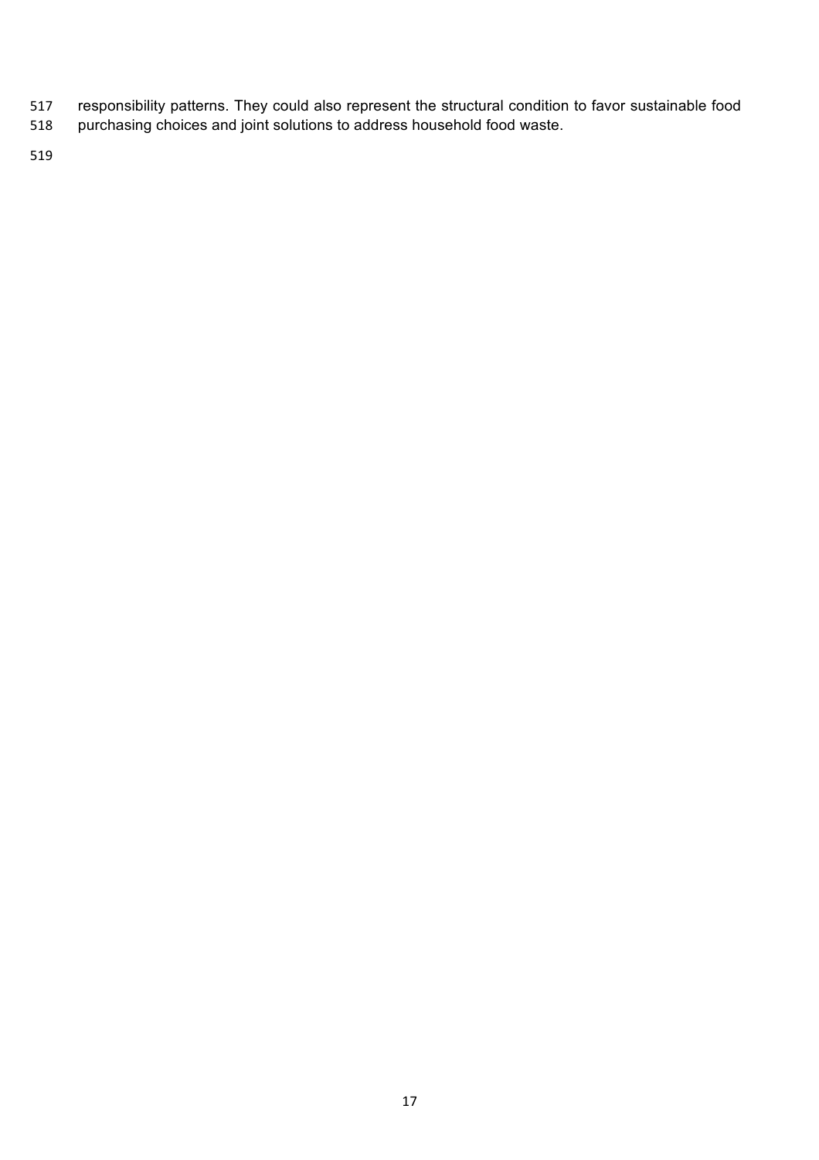- responsibility patterns. They could also represent the structural condition to favor sustainable food
- purchasing choices and joint solutions to address household food waste.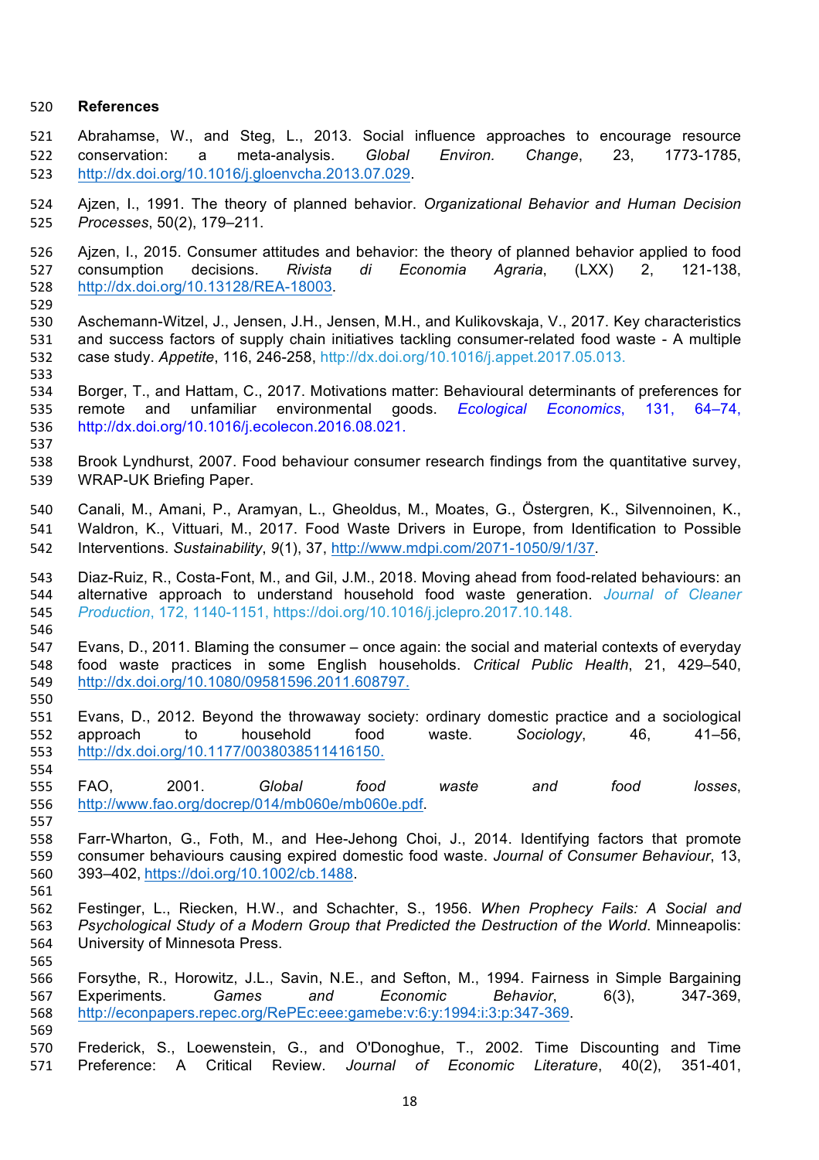#### **References**

 Abrahamse, W., and Steg, L., 2013. Social influence approaches to encourage resource conservation: a meta-analysis. *Global Environ. Change*, 23, 1773-1785, http://dx.doi.org/10.1016/j.gloenvcha.2013.07.029.

- Ajzen, I., 1991. The theory of planned behavior. *Organizational Behavior and Human Decision Processes*, 50(2), 179–211.
- Ajzen, I., 2015. Consumer attitudes and behavior: the theory of planned behavior applied to food consumption decisions. *Rivista di Economia Agraria*, (LXX) 2, 121-138, http://dx.doi.org/10.13128/REA-18003.
- Aschemann-Witzel, J., Jensen, J.H., Jensen, M.H., and Kulikovskaja, V., 2017. Key characteristics and success factors of supply chain initiatives tackling consumer-related food waste - A multiple case study. *Appetite*, 116, 246-258, http://dx.doi.org/10.1016/j.appet.2017.05.013.
- Borger, T., and Hattam, C., 2017. Motivations matter: Behavioural determinants of preferences for remote and unfamiliar environmental goods. *Ecological Economics*, 131, 64–74, http://dx.doi.org/10.1016/j.ecolecon.2016.08.021.
- Brook Lyndhurst, 2007. Food behaviour consumer research findings from the quantitative survey, WRAP-UK Briefing Paper.
- Canali, M., Amani, P., Aramyan, L., Gheoldus, M., Moates, G., Östergren, K., Silvennoinen, K., Waldron, K., Vittuari, M., 2017. Food Waste Drivers in Europe, from Identification to Possible Interventions. *Sustainability*, *9*(1), 37, http://www.mdpi.com/2071-1050/9/1/37.
- Diaz-Ruiz, R., Costa-Font, M., and Gil, J.M., 2018. Moving ahead from food-related behaviours: an alternative approach to understand household food waste generation. *Journal of Cleaner Production*, 172, 1140-1151, https://doi.org/10.1016/j.jclepro.2017.10.148.
- Evans, D., 2011. Blaming the consumer once again: the social and material contexts of everyday food waste practices in some English households. *Critical Public Health*, 21, 429–540, http://dx.doi.org/10.1080/09581596.2011.608797.
- Evans, D., 2012. Beyond the throwaway society: ordinary domestic practice and a sociological approach to household food waste. *Sociology*, 46, 41–56, http://dx.doi.org/10.1177/0038038511416150.
- FAO, 2001. *Global food waste and food losses*, http://www.fao.org/docrep/014/mb060e/mb060e.pdf.
- Farr-Wharton, G., Foth, M., and Hee-Jehong Choi, J., 2014. Identifying factors that promote consumer behaviours causing expired domestic food waste. *Journal of Consumer Behaviour*, 13, 393–402, https://doi.org/10.1002/cb.1488.
- Festinger, L., Riecken, H.W., and Schachter, S., 1956. *When Prophecy Fails: A Social and Psychological Study of a Modern Group that Predicted the Destruction of the World*. Minneapolis: University of Minnesota Press.
- Forsythe, R., Horowitz, J.L., Savin, N.E., and Sefton, M., 1994. Fairness in Simple Bargaining Experiments. *Games and Economic Behavior*, 6(3), 347-369, http://econpapers.repec.org/RePEc:eee:gamebe:v:6:y:1994:i:3:p:347-369.
- Frederick, S., Loewenstein, G., and O'Donoghue, T., 2002. Time Discounting and Time Preference: A Critical Review. *Journal of Economic Literature*, 40(2), 351-401,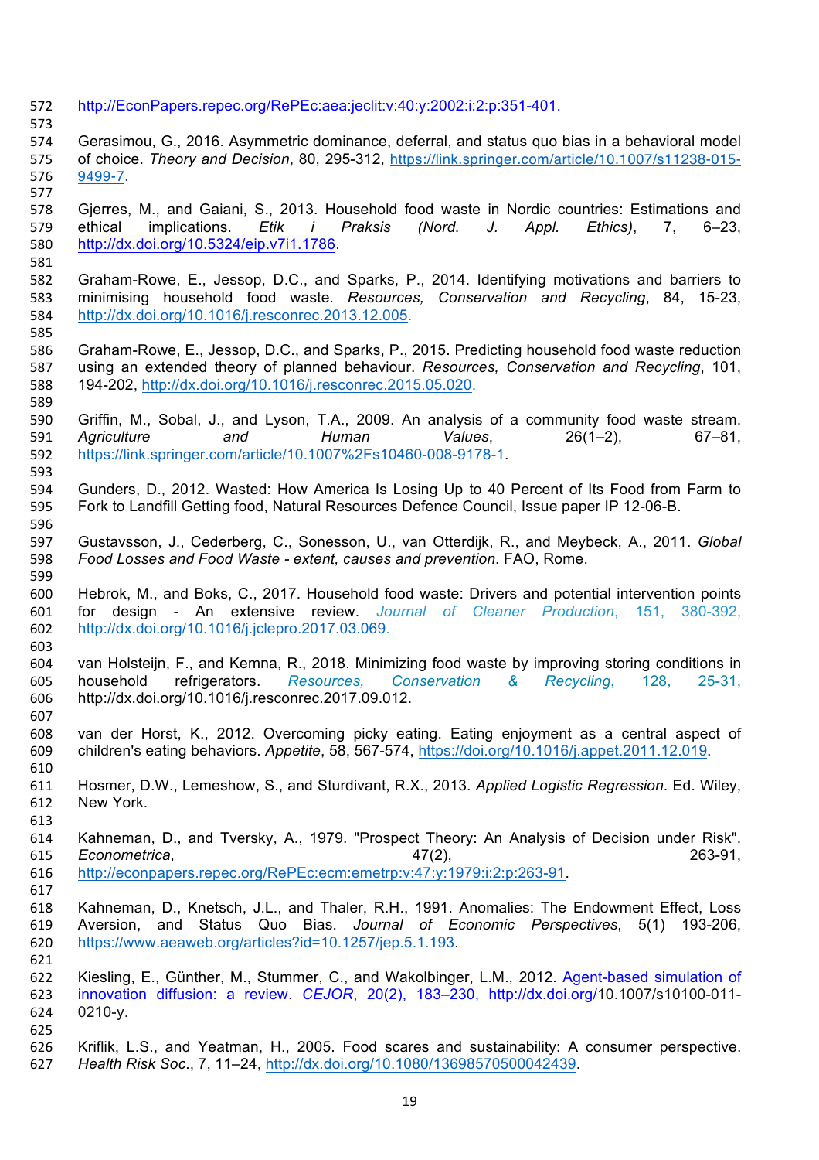http://EconPapers.repec.org/RePEc:aea:jeclit:v:40:y:2002:i:2:p:351-401.

- Gerasimou, G., 2016. Asymmetric dominance, deferral, and status quo bias in a behavioral model of choice. *Theory and Decision*, 80, 295-312, https://link.springer.com/article/10.1007/s11238-015- 9499-7.
- Gjerres, M., and Gaiani, S., 2013. Household food waste in Nordic countries: Estimations and ethical implications. *Etik i Praksis (Nord. J. Appl. Ethics)*, 7, 6–23, http://dx.doi.org/10.5324/eip.v7i1.1786.
- Graham-Rowe, E., Jessop, D.C., and Sparks, P., 2014. Identifying motivations and barriers to minimising household food waste. *Resources, Conservation and Recycling*, 84, 15-23, http://dx.doi.org/10.1016/j.resconrec.2013.12.005.
- Graham-Rowe, E., Jessop, D.C., and Sparks, P., 2015. Predicting household food waste reduction using an extended theory of planned behaviour. *Resources, Conservation and Recycling*, 101, 194-202, http://dx.doi.org/10.1016/j.resconrec.2015.05.020.
- Griffin, M., Sobal, J., and Lyson, T.A., 2009. An analysis of a community food waste stream. *Agriculture and Human Values*, 26(1–2), 67–81, https://link.springer.com/article/10.1007%2Fs10460-008-9178-1.
- Gunders, D., 2012. Wasted: How America Is Losing Up to 40 Percent of Its Food from Farm to Fork to Landfill Getting food, Natural Resources Defence Council, Issue paper IP 12-06-B.
- Gustavsson, J., Cederberg, C., Sonesson, U., van Otterdijk, R., and Meybeck, A., 2011. *Global Food Losses and Food Waste - extent, causes and prevention*. FAO, Rome.
- Hebrok, M., and Boks, C., 2017. Household food waste: Drivers and potential intervention points for design - An extensive review. *Journal of Cleaner Production*, 151, 380-392, http://dx.doi.org/10.1016/j.jclepro.2017.03.069.
- van Holsteijn, F., and Kemna, R., 2018. Minimizing food waste by improving storing conditions in household refrigerators. *Resources, Conservation & Recycling*, 128, 25-31, http://dx.doi.org/10.1016/j.resconrec.2017.09.012.
- van der Horst, K., 2012. Overcoming picky eating. Eating enjoyment as a central aspect of children's eating behaviors. *Appetite*, 58, 567-574, https://doi.org/10.1016/j.appet.2011.12.019.
- Hosmer, D.W., Lemeshow, S., and Sturdivant, R.X., 2013. *Applied Logistic Regression*. Ed. Wiley, New York.
- Kahneman, D., and Tversky, A., 1979. "Prospect Theory: An Analysis of Decision under Risk". *Econometrica*, 47(2), 263-91,
- http://econpapers.repec.org/RePEc:ecm:emetrp:v:47:y:1979:i:2:p:263-91.
- Kahneman, D., Knetsch, J.L., and Thaler, R.H., 1991. Anomalies: The Endowment Effect, Loss Aversion, and Status Quo Bias. *Journal of Economic Perspectives*, 5(1) 193-206, https://www.aeaweb.org/articles?id=10.1257/jep.5.1.193.
- Kiesling, E., Günther, M., Stummer, C., and Wakolbinger, L.M., 2012. Agent-based simulation of innovation diffusion: a review. *CEJOR*, 20(2), 183–230, http://dx.doi.org/10.1007/s10100-011- 0210-y.
- Kriflik, L.S., and Yeatman, H., 2005. Food scares and sustainability: A consumer perspective. *Health Risk Soc*., 7, 11–24, http://dx.doi.org/10.1080/13698570500042439.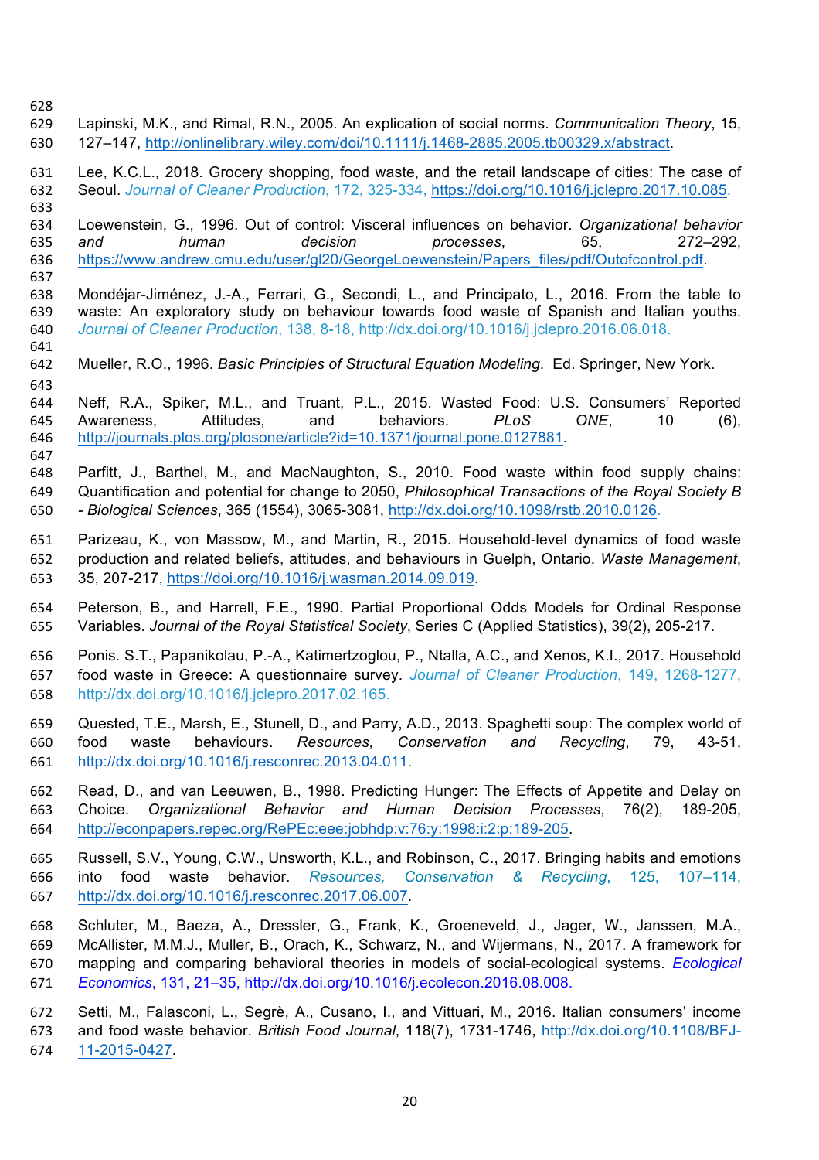Lapinski, M.K., and Rimal, R.N., 2005. An explication of social norms. *Communication Theory*, 15, 127–147, http://onlinelibrary.wiley.com/doi/10.1111/j.1468-2885.2005.tb00329.x/abstract.

 Lee, K.C.L., 2018. Grocery shopping, food waste, and the retail landscape of cities: The case of Seoul. *Journal of Cleaner Production*, 172, 325-334, https://doi.org/10.1016/j.jclepro.2017.10.085.

 Loewenstein, G., 1996. Out of control: Visceral influences on behavior. *Organizational behavior and human decision processes*, 65, 272–292, https://www.andrew.cmu.edu/user/gl20/GeorgeLoewenstein/Papers\_files/pdf/Outofcontrol.pdf.

- Mondéjar-Jiménez, J.-A., Ferrari, G., Secondi, L., and Principato, L., 2016. From the table to waste: An exploratory study on behaviour towards food waste of Spanish and Italian youths. *Journal of Cleaner Production*, 138, 8-18, http://dx.doi.org/10.1016/j.jclepro.2016.06.018.
- Mueller, R.O., 1996. *Basic Principles of Structural Equation Modeling*. Ed. Springer, New York.
- Neff, R.A., Spiker, M.L., and Truant, P.L., 2015. Wasted Food: U.S. Consumers' Reported Awareness, Attitudes, and behaviors. *PLoS ONE*, 10 (6), http://journals.plos.org/plosone/article?id=10.1371/journal.pone.0127881.
- Parfitt, J., Barthel, M., and MacNaughton, S., 2010. Food waste within food supply chains: Quantification and potential for change to 2050, *Philosophical Transactions of the Royal Society B - Biological Sciences*, 365 (1554), 3065-3081, http://dx.doi.org/10.1098/rstb.2010.0126.
- Parizeau, K., von Massow, M., and Martin, R., 2015. Household-level dynamics of food waste production and related beliefs, attitudes, and behaviours in Guelph, Ontario. *Waste Management*, 35, 207-217, https://doi.org/10.1016/j.wasman.2014.09.019.
- Peterson, B., and Harrell, F.E., 1990. Partial Proportional Odds Models for Ordinal Response Variables. *Journal of the Royal Statistical Society*, Series C (Applied Statistics), 39(2), 205-217.
- Ponis. S.T., Papanikolau, P.-A., Katimertzoglou, P., Ntalla, A.C., and Xenos, K.I., 2017. Household food waste in Greece: A questionnaire survey. *Journal of Cleaner Production*, 149, 1268-1277, http://dx.doi.org/10.1016/j.jclepro.2017.02.165.
- Quested, T.E., Marsh, E., Stunell, D., and Parry, A.D., 2013. Spaghetti soup: The complex world of food waste behaviours. *Resources, Conservation and Recycling*, 79, 43-51, http://dx.doi.org/10.1016/j.resconrec.2013.04.011.
- Read, D., and van Leeuwen, B., 1998. Predicting Hunger: The Effects of Appetite and Delay on Choice. *Organizational Behavior and Human Decision Processes*, 76(2), 189-205, http://econpapers.repec.org/RePEc:eee:jobhdp:v:76:y:1998:i:2:p:189-205.
- Russell, S.V., Young, C.W., Unsworth, K.L., and Robinson, C., 2017. Bringing habits and emotions into food waste behavior. *Resources, Conservation & Recycling*, 125, 107–114, http://dx.doi.org/10.1016/j.resconrec.2017.06.007.
- Schluter, M., Baeza, A., Dressler, G., Frank, K., Groeneveld, J., Jager, W., Janssen, M.A., McAllister, M.M.J., Muller, B., Orach, K., Schwarz, N., and Wijermans, N., 2017. A framework for mapping and comparing behavioral theories in models of social-ecological systems. *Ecological Economics*, 131, 21–35, http://dx.doi.org/10.1016/j.ecolecon.2016.08.008.
- Setti, M., Falasconi, L., Segrè, A., Cusano, I., and Vittuari, M., 2016. Italian consumers' income and food waste behavior. *British Food Journal*, 118(7), 1731-1746, http://dx.doi.org/10.1108/BFJ-11-2015-0427.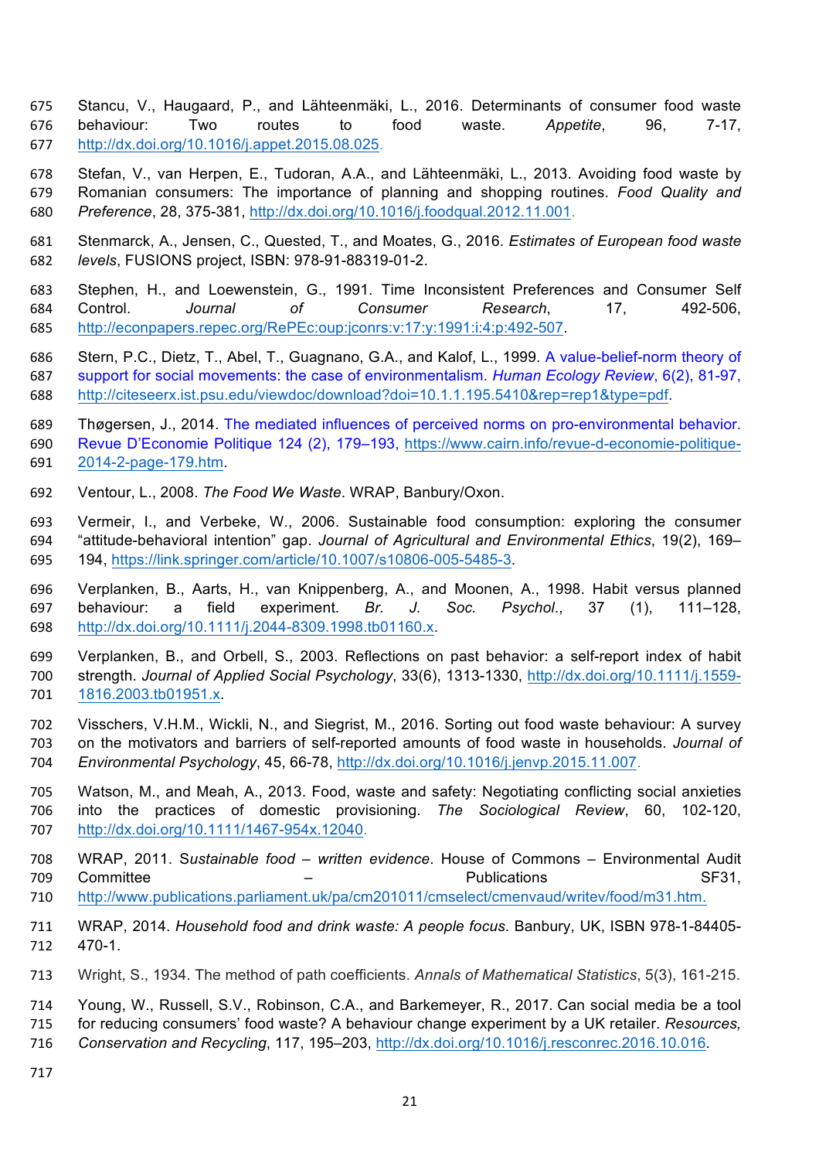- Stancu, V., Haugaard, P., and Lähteenmäki, L., 2016. Determinants of consumer food waste behaviour: Two routes to food waste. *Appetite*, 96, 7-17, http://dx.doi.org/10.1016/j.appet.2015.08.025.
- Stefan, V., van Herpen, E., Tudoran, A.A., and Lähteenmäki, L., 2013. Avoiding food waste by Romanian consumers: The importance of planning and shopping routines. *Food Quality and Preference*, 28, 375-381, http://dx.doi.org/10.1016/j.foodqual.2012.11.001.
- Stenmarck, A., Jensen, C., Quested, T., and Moates, G., 2016. *Estimates of European food waste levels*, FUSIONS project, ISBN: 978-91-88319-01-2.
- Stephen, H., and Loewenstein, G., 1991. Time Inconsistent Preferences and Consumer Self Control. *Journal of Consumer Research*, 17, 492-506, http://econpapers.repec.org/RePEc:oup:jconrs:v:17:y:1991:i:4:p:492-507.
- Stern, P.C., Dietz, T., Abel, T., Guagnano, G.A., and Kalof, L., 1999. A value-belief-norm theory of support for social movements: the case of environmentalism. *Human Ecology Review*, 6(2), 81-97, http://citeseerx.ist.psu.edu/viewdoc/download?doi=10.1.1.195.5410&rep=rep1&type=pdf.
- Thøgersen, J., 2014. The mediated influences of perceived norms on pro-environmental behavior. Revue D'Economie Politique 124 (2), 179–193, https://www.cairn.info/revue-d-economie-politique-2014-2-page-179.htm.
- Ventour, L., 2008. *The Food We Waste*. WRAP, Banbury/Oxon.
- Vermeir, I., and Verbeke, W., 2006. Sustainable food consumption: exploring the consumer "attitude-behavioral intention" gap. *Journal of Agricultural and Environmental Ethics*, 19(2), 169– 194, https://link.springer.com/article/10.1007/s10806-005-5485-3.
- Verplanken, B., Aarts, H., van Knippenberg, A., and Moonen, A., 1998. Habit versus planned behaviour: a field experiment. *Br. J. Soc. Psychol*., 37 (1), 111–128, http://dx.doi.org/10.1111/j.2044-8309.1998.tb01160.x.
- Verplanken, B., and Orbell, S., 2003. Reflections on past behavior: a self-report index of habit strength. *Journal of Applied Social Psychology*, 33(6), 1313-1330, http://dx.doi.org/10.1111/j.1559- 1816.2003.tb01951.x.
- Visschers, V.H.M., Wickli, N., and Siegrist, M., 2016. Sorting out food waste behaviour: A survey on the motivators and barriers of self-reported amounts of food waste in households. *Journal of Environmental Psychology*, 45, 66-78, http://dx.doi.org/10.1016/j.jenvp.2015.11.007.
- Watson, M., and Meah, A., 2013. Food, waste and safety: Negotiating conflicting social anxieties into the practices of domestic provisioning. *The Sociological Review*, 60, 102-120, http://dx.doi.org/10.1111/1467-954x.12040.
- WRAP, 2011. S*ustainable food – written evidence*. House of Commons Environmental Audit Committee – Publications SF31, http://www.publications.parliament.uk/pa/cm201011/cmselect/cmenvaud/writev/food/m31.htm.
- WRAP, 2014. *Household food and drink waste: A people focus*. Banbury, UK, ISBN 978-1-84405- 470-1.
- Wright, S., 1934. The method of path coefficients. *Annals of Mathematical Statistics*, 5(3), 161-215.
- Young, W., Russell, S.V., Robinson, C.A., and Barkemeyer, R., 2017. Can social media be a tool
- for reducing consumers' food waste? A behaviour change experiment by a UK retailer. *Resources,*
- *Conservation and Recycling*, 117, 195–203, http://dx.doi.org/10.1016/j.resconrec.2016.10.016.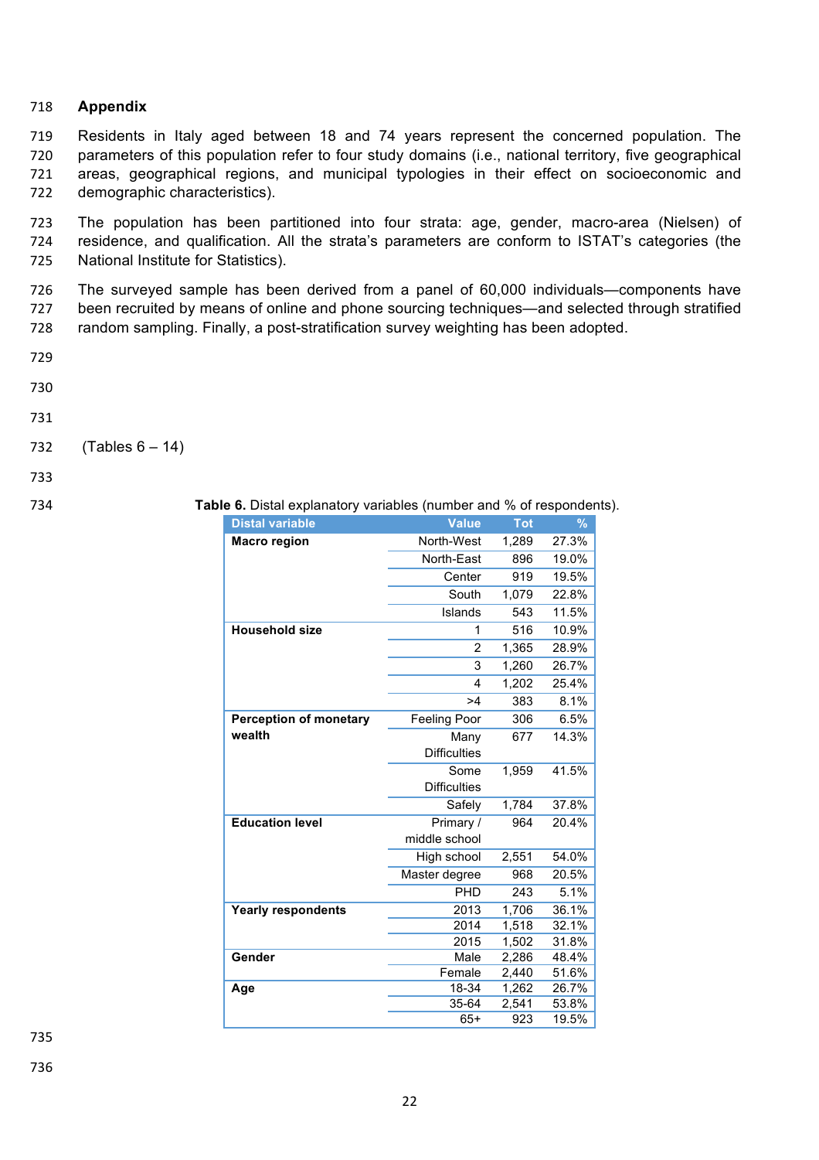#### 718 **Appendix**

 Residents in Italy aged between 18 and 74 years represent the concerned population. The parameters of this population refer to four study domains (i.e., national territory, five geographical areas, geographical regions, and municipal typologies in their effect on socioeconomic and demographic characteristics).

723 The population has been partitioned into four strata: age, gender, macro-area (Nielsen) of 724 residence, and qualification. All the strata's parameters are conform to ISTAT's categories (the 725 National Institute for Statistics).

726 The surveyed sample has been derived from a panel of 60,000 individuals—components have 727 been recruited by means of online and phone sourcing techniques—and selected through stratified 728 random sampling. Finally, a post-stratification survey weighting has been adopted.

- 729
- 730
- 731

#### 732 (Tables  $6 - 14$ )

- 733
- 

734 **Table 6.** Distal explanatory variables (number and % of respondents).

| <b>Distal variable</b>        | <b>Value</b>        | <b>Tot</b>   | $\frac{9}{6}$  |
|-------------------------------|---------------------|--------------|----------------|
| <b>Macro region</b>           | North-West          | 1,289        | 27.3%          |
|                               | North-East          | 896          | 19.0%          |
|                               | Center              | 919          | 19.5%          |
|                               | South               | 1,079        | 22.8%          |
|                               | Islands             | 543          | 11.5%          |
| <b>Household size</b>         | 1                   | 516          | 10.9%          |
|                               | $\overline{2}$      | 1,365        | 28.9%          |
|                               | 3                   | 1,260        | 26.7%          |
|                               | 4                   | 1,202        | 25.4%          |
|                               | >4                  | 383          | 8.1%           |
| <b>Perception of monetary</b> | <b>Feeling Poor</b> | 306          | 6.5%           |
| wealth                        | Many                | 677          | 14.3%          |
|                               | <b>Difficulties</b> |              |                |
|                               | Some                | 1,959        | 41.5%          |
|                               | <b>Difficulties</b> |              |                |
|                               | Safely              | 1,784        | 37.8%          |
| <b>Education level</b>        | Primary /           | 964          | 20.4%          |
|                               | middle school       |              |                |
|                               | High school         | 2,551        | 54.0%          |
|                               | Master degree       | 968          | 20.5%          |
|                               | PHD                 | 243          | 5.1%           |
| <b>Yearly respondents</b>     | 2013                | 1,706        | 36.1%          |
|                               | 2014                | 1,518        | 32.1%          |
|                               | 2015                | 1,502        | 31.8%          |
| Gender                        | Male                | 2,286        | 48.4%          |
|                               | Female              | 2,440        | 51.6%          |
| Age                           | 18-34               | 1,262        | 26.7%          |
|                               | 35-64<br>$65+$      | 2,541<br>923 | 53.8%<br>19.5% |
|                               |                     |              |                |

735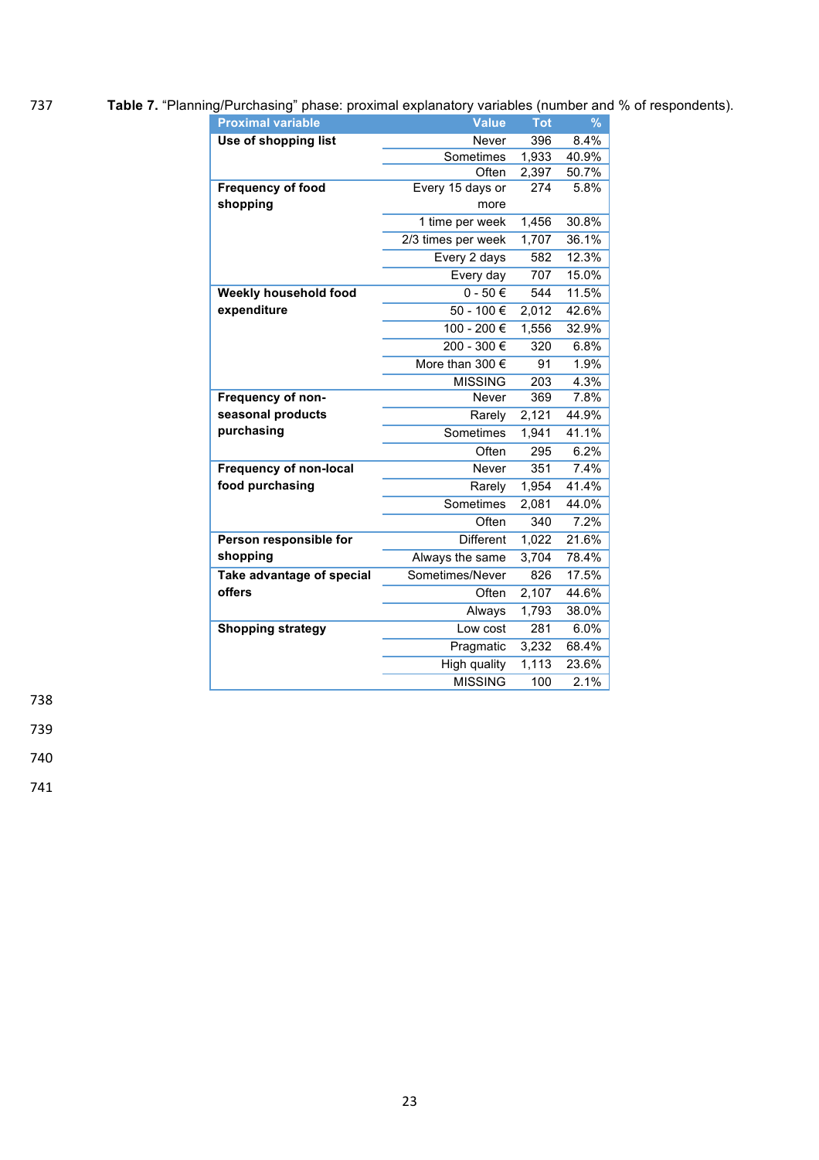737 **Table 7.** "Planning/Purchasing" phase: proximal explanatory variables (number and % of respondents).

| <b>Proximal variable</b>      | <b>Value</b>             | <b>Tot</b> | $\frac{9}{6}$ |
|-------------------------------|--------------------------|------------|---------------|
| Use of shopping list          | Never                    | 396        | 8.4%          |
|                               | Sometimes                | 1,933      | 40.9%         |
|                               | Often                    | 2,397      | 50.7%         |
| <b>Frequency of food</b>      | Every 15 days or         | 274        | 5.8%          |
| shopping                      | more                     |            |               |
|                               | 1 time per week          | 1,456      | 30.8%         |
|                               | 2/3 times per week       | 1,707      | 36.1%         |
|                               | Every 2 days             | 582        | 12.3%         |
|                               | Every day                | 707        | 15.0%         |
| Weekly household food         | $0 - 50 \in$             | 544        | 11.5%         |
| expenditure                   | 50 - 100 €               | 2,012      | 42.6%         |
|                               | 100 - 200 €              | 1,556      | 32.9%         |
|                               | 200 - 300 €              | 320        | 6.8%          |
|                               | More than 300 $\epsilon$ | 91         | 1.9%          |
|                               | <b>MISSING</b>           | 203        | 4.3%          |
| Frequency of non-             | Never                    | 369        | 7.8%          |
| seasonal products             | Rarely                   | 2,121      | 44.9%         |
| purchasing                    | Sometimes                | 1,941      | 41.1%         |
|                               | Often                    | 295        | 6.2%          |
| <b>Frequency of non-local</b> | Never                    | 351        | 7.4%          |
| food purchasing               | Rarely                   | 1,954      | 41.4%         |
|                               | Sometimes                | 2,081      | 44.0%         |
|                               | Often                    | 340        | 7.2%          |
| Person responsible for        | Different                | 1,022      | 21.6%         |
| shopping                      | Always the same          | 3,704      | 78.4%         |
| Take advantage of special     | Sometimes/Never          | 826        | 17.5%         |
| offers                        | Often                    | 2,107      | 44.6%         |
|                               | Always                   | 1,793      | 38.0%         |
| <b>Shopping strategy</b>      | Low cost                 | 281        | 6.0%          |
|                               | Pragmatic                | 3,232      | 68.4%         |
|                               | <b>High quality</b>      | 1,113      | 23.6%         |
|                               | <b>MISSING</b>           | 100        | 2.1%          |

739

740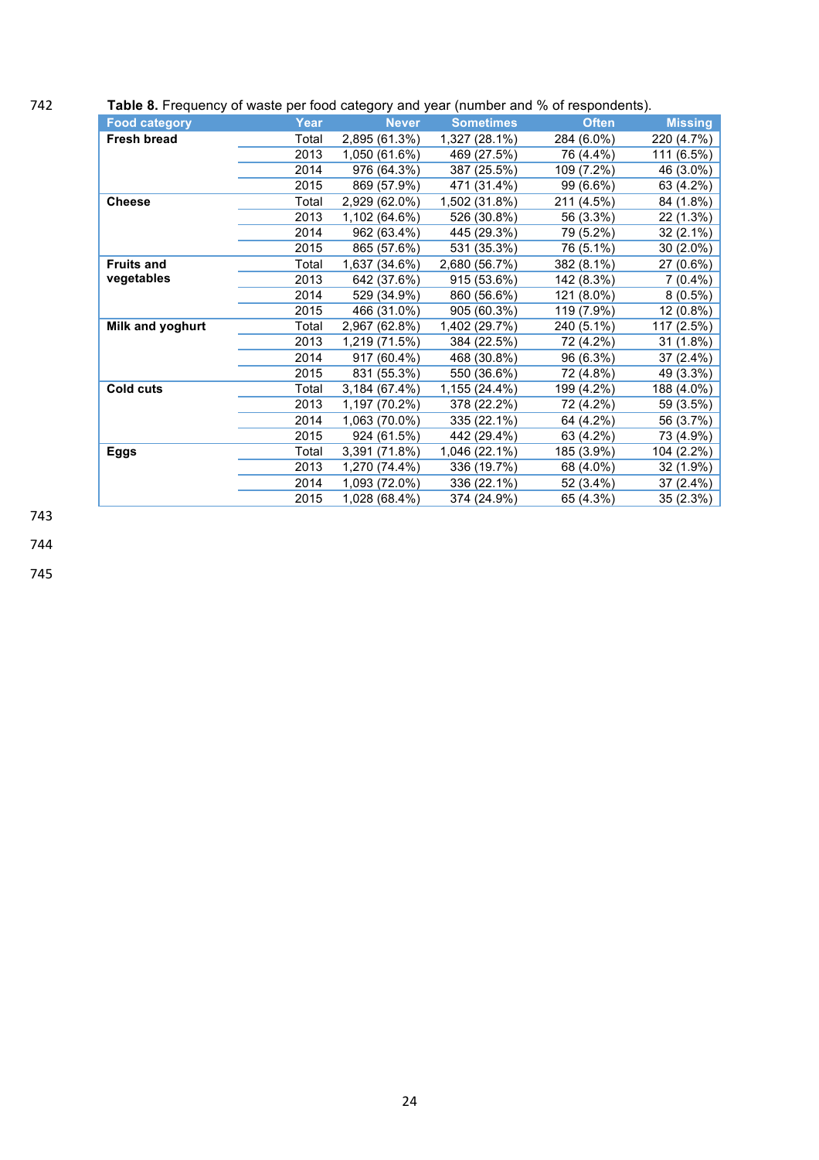**Table 8.** Frequency of waste per food category and year (number and % of respondents).

| <b>Table of Figurity</b> of maste per lood category and year filamper and 70 or respondente). |       |               |                  |              |                |
|-----------------------------------------------------------------------------------------------|-------|---------------|------------------|--------------|----------------|
| <b>Food category</b>                                                                          | Year  | <b>Never</b>  | <b>Sometimes</b> | <b>Often</b> | <b>Missing</b> |
| Fresh bread                                                                                   | Total | 2,895 (61.3%) | 1,327 (28.1%)    | 284 (6.0%)   | 220 (4.7%)     |
|                                                                                               | 2013  | 1,050 (61.6%) | 469 (27.5%)      | 76 (4.4%)    | 111 (6.5%)     |
|                                                                                               | 2014  | 976 (64.3%)   | 387 (25.5%)      | 109 (7.2%)   | 46 (3.0%)      |
|                                                                                               | 2015  | 869 (57.9%)   | 471 (31.4%)      | 99 (6.6%)    | 63 (4.2%)      |
| <b>Cheese</b>                                                                                 | Total | 2,929 (62.0%) | 1,502 (31.8%)    | 211 (4.5%)   | 84 (1.8%)      |
|                                                                                               | 2013  | 1,102 (64.6%) | 526 (30.8%)      | 56 (3.3%)    | 22 (1.3%)      |
|                                                                                               | 2014  | 962 (63.4%)   | 445 (29.3%)      | 79 (5.2%)    | 32 (2.1%)      |
|                                                                                               | 2015  | 865 (57.6%)   | 531 (35.3%)      | 76 (5.1%)    | $30(2.0\%)$    |
| <b>Fruits and</b>                                                                             | Total | 1,637 (34.6%) | 2,680 (56.7%)    | 382 (8.1%)   | 27 (0.6%)      |
| vegetables                                                                                    | 2013  | 642 (37.6%)   | 915 (53.6%)      | 142 (8.3%)   | $7(0.4\%)$     |
|                                                                                               | 2014  | 529 (34.9%)   | 860 (56.6%)      | 121 (8.0%)   | $8(0.5\%)$     |
|                                                                                               | 2015  | 466 (31.0%)   | 905 (60.3%)      | 119 (7.9%)   | 12 (0.8%)      |
| Milk and yoghurt                                                                              | Total | 2,967 (62.8%) | 1,402 (29.7%)    | 240 (5.1%)   | 117 (2.5%)     |
|                                                                                               | 2013  | 1,219 (71.5%) | 384 (22.5%)      | 72 (4.2%)    | $31(1.8\%)$    |
|                                                                                               | 2014  | 917 (60.4%)   | 468 (30.8%)      | 96 (6.3%)    | 37 (2.4%)      |
|                                                                                               | 2015  | 831 (55.3%)   | 550 (36.6%)      | 72 (4.8%)    | 49 (3.3%)      |
| Cold cuts                                                                                     | Total | 3,184 (67.4%) | 1,155 (24.4%)    | 199 (4.2%)   | 188 (4.0%)     |
|                                                                                               | 2013  | 1,197 (70.2%) | 378 (22.2%)      | 72 (4.2%)    | 59 (3.5%)      |
|                                                                                               | 2014  | 1,063 (70.0%) | 335 (22.1%)      | 64 (4.2%)    | 56 (3.7%)      |
|                                                                                               | 2015  | 924 (61.5%)   | 442 (29.4%)      | 63 (4.2%)    | 73 (4.9%)      |
| Eggs                                                                                          | Total | 3,391 (71.8%) | 1,046 (22.1%)    | 185 (3.9%)   | 104 (2.2%)     |
|                                                                                               | 2013  | 1,270 (74.4%) | 336 (19.7%)      | 68 (4.0%)    | 32 (1.9%)      |
|                                                                                               | 2014  | 1,093 (72.0%) | 336 (22.1%)      | 52 (3.4%)    | 37 (2.4%)      |
|                                                                                               | 2015  | 1,028 (68.4%) | 374 (24.9%)      | 65 (4.3%)    | 35(2.3%)       |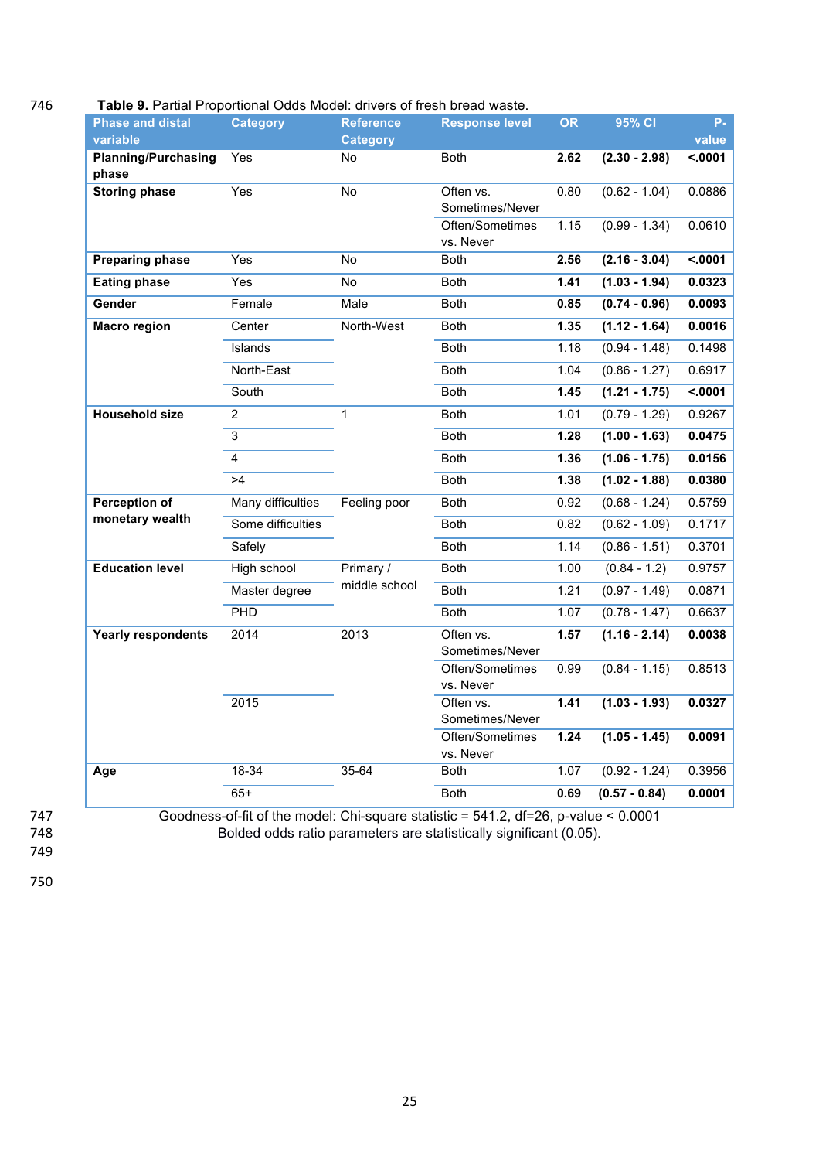| <b>Table 9.</b> Partial Proportional Odds Model: drivers of fresh bread waste.<br>746 |
|---------------------------------------------------------------------------------------|
|---------------------------------------------------------------------------------------|

| <b>Phase and distal</b>             | <b>Category</b>          | <b>Reference</b> | <b>Response level</b>        | <b>OR</b> | 95% CI          |
|-------------------------------------|--------------------------|------------------|------------------------------|-----------|-----------------|
| variable                            |                          | <b>Category</b>  |                              |           |                 |
| <b>Planning/Purchasing</b><br>phase | Yes                      | <b>No</b>        | <b>Both</b>                  | 2.62      | $(2.30 - 2.98)$ |
| <b>Storing phase</b>                | Yes                      | No               | Often vs.<br>Sometimes/Never | 0.80      | $(0.62 - 1.04)$ |
|                                     |                          |                  | Often/Sometimes<br>vs. Never | 1.15      | $(0.99 - 1.34)$ |
| <b>Preparing phase</b>              | Yes                      | No               | <b>Both</b>                  | 2.56      | $(2.16 - 3.04)$ |
| <b>Eating phase</b>                 | Yes                      | N <sub>o</sub>   | Both                         | 1.41      | $(1.03 - 1.94)$ |
| Gender                              | Female                   | Male             | <b>Both</b>                  | 0.85      | $(0.74 - 0.96)$ |
| <b>Macro region</b>                 | Center                   | North-West       | <b>Both</b>                  | 1.35      | $(1.12 - 1.64)$ |
|                                     | <b>Islands</b>           |                  | Both                         | 1.18      | $(0.94 - 1.48)$ |
|                                     | North-East               |                  | Both                         | 1.04      | $(0.86 - 1.27)$ |
|                                     | South                    |                  | <b>Both</b>                  | 1.45      | $(1.21 - 1.75)$ |
| <b>Household size</b>               | $\overline{2}$           | 1                | Both                         | 1.01      | $(0.79 - 1.29)$ |
|                                     | $\overline{3}$           |                  | Both                         | 1.28      | $(1.00 - 1.63)$ |
|                                     | 4                        |                  | Both                         | 1.36      | $(1.06 - 1.75)$ |
|                                     | >4                       |                  | <b>Both</b>                  | 1.38      | $(1.02 - 1.88)$ |
| <b>Perception of</b>                | <b>Many difficulties</b> | Feeling poor     | <b>Both</b>                  | 0.92      | $(0.68 - 1.24)$ |
| monetary wealth                     | Some difficulties        |                  | Both                         | 0.82      | $(0.62 - 1.09)$ |
|                                     | Safely                   |                  | <b>Both</b>                  | 1.14      | $(0.86 - 1.51)$ |
| <b>Education level</b>              | High school              | Primary /        | <b>Both</b>                  | 1.00      | $(0.84 - 1.2)$  |
|                                     | Master degree            | middle school    | <b>Both</b>                  | 1.21      | $(0.97 - 1.49)$ |
|                                     | PHD                      |                  | <b>Both</b>                  | 1.07      | $(0.78 - 1.47)$ |
| <b>Yearly respondents</b>           | 2014                     | 2013             | Often vs.<br>Sometimes/Never | 1.57      | $(1.16 - 2.14)$ |
|                                     |                          |                  | Often/Sometimes<br>vs. Never | 0.99      | $(0.84 - 1.15)$ |
|                                     | 2015                     |                  | Often vs.<br>Sometimes/Never | 1.41      | $(1.03 - 1.93)$ |
|                                     |                          |                  | Often/Sometimes<br>vs. Never | 1.24      | $(1.05 - 1.45)$ |
| Age                                 | $18 - 34$                | $35 - 64$        | Both                         | 1.07      | $(0.92 - 1.24)$ |
|                                     | $65+$                    |                  | <b>Both</b>                  | 0.69      | $(0.57 - 0.84)$ |

748 Bolded odds ratio parameters are statistically significant (0.05). 749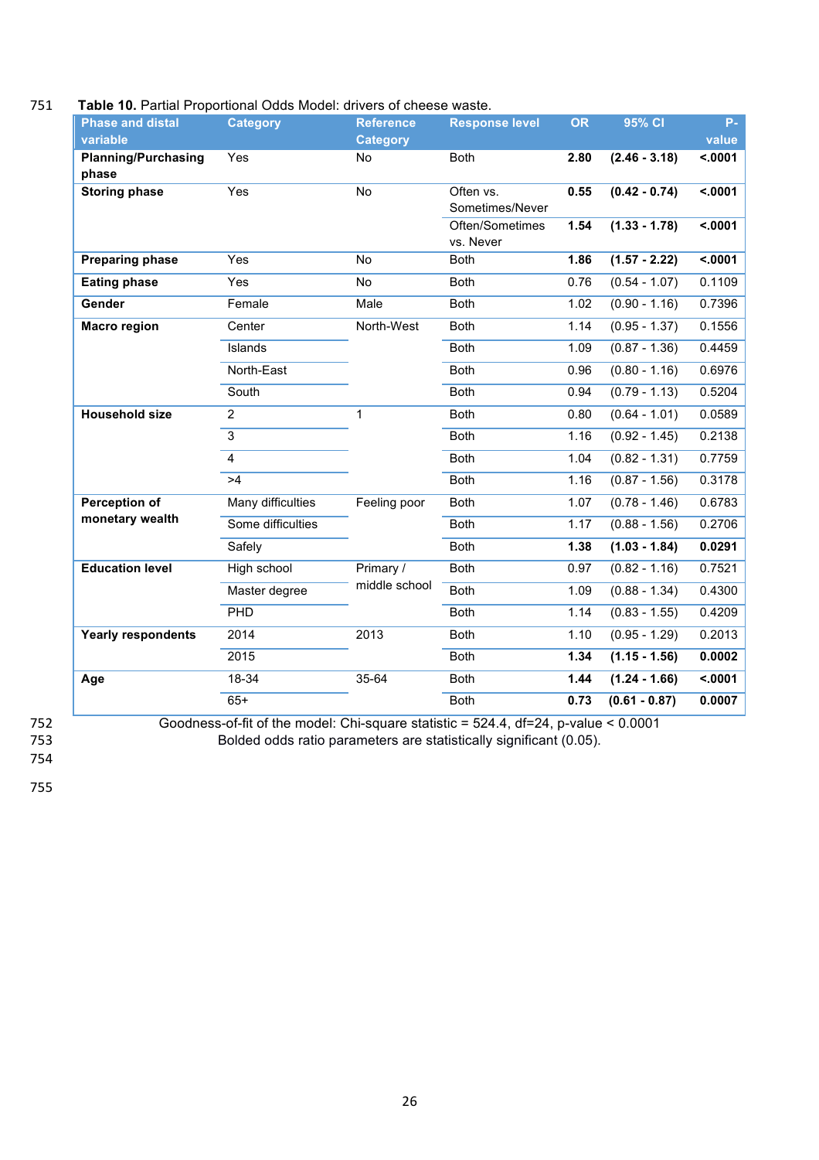| 751 | Table 10. Partial Proportional Odds Model: drivers of cheese waste. |
|-----|---------------------------------------------------------------------|
|     |                                                                     |

| <b>Table TV.</b> Failed FTOPORTORIAL OUGS MOUST. UITVETS OF CITCESS WAS IS. |                   |                  |                              |           |                 |         |
|-----------------------------------------------------------------------------|-------------------|------------------|------------------------------|-----------|-----------------|---------|
| <b>Phase and distal</b>                                                     | <b>Category</b>   | <b>Reference</b> | <b>Response level</b>        | <b>OR</b> | 95% CI          | P-      |
| variable                                                                    |                   | <b>Category</b>  |                              |           |                 | value   |
| <b>Planning/Purchasing</b><br>phase                                         | Yes               | No               | <b>Both</b>                  | 2.80      | $(2.46 - 3.18)$ | < .0001 |
| <b>Storing phase</b>                                                        | Yes               | N <sub>o</sub>   | Often vs.<br>Sometimes/Never | 0.55      | $(0.42 - 0.74)$ | 5.0001  |
|                                                                             |                   |                  | Often/Sometimes<br>vs. Never | 1.54      | $(1.33 - 1.78)$ | 5.0001  |
| <b>Preparing phase</b>                                                      | Yes               | <b>No</b>        | <b>Both</b>                  | 1.86      | $(1.57 - 2.22)$ | < .0001 |
| <b>Eating phase</b>                                                         | Yes               | <b>No</b>        | <b>Both</b>                  | 0.76      | $(0.54 - 1.07)$ | 0.1109  |
| Gender                                                                      | Female            | Male             | <b>Both</b>                  | 1.02      | $(0.90 - 1.16)$ | 0.7396  |
| <b>Macro region</b>                                                         | Center            | North-West       | <b>Both</b>                  | 1.14      | $(0.95 - 1.37)$ | 0.1556  |
|                                                                             | Islands           |                  | <b>Both</b>                  | 1.09      | $(0.87 - 1.36)$ | 0.4459  |
|                                                                             | North-East        |                  | <b>Both</b>                  | 0.96      | $(0.80 - 1.16)$ | 0.6976  |
|                                                                             | South             |                  | <b>Both</b>                  | 0.94      | $(0.79 - 1.13)$ | 0.5204  |
| <b>Household size</b>                                                       | $\overline{2}$    | 1                | <b>Both</b>                  | 0.80      | $(0.64 - 1.01)$ | 0.0589  |
|                                                                             | $\overline{3}$    |                  | <b>Both</b>                  | 1.16      | $(0.92 - 1.45)$ | 0.2138  |
|                                                                             | $\overline{4}$    |                  | <b>Both</b>                  | 1.04      | $(0.82 - 1.31)$ | 0.7759  |
|                                                                             | >4                |                  | <b>Both</b>                  | 1.16      | $(0.87 - 1.56)$ | 0.3178  |
| <b>Perception of</b>                                                        | Many difficulties | Feeling poor     | <b>Both</b>                  | 1.07      | $(0.78 - 1.46)$ | 0.6783  |
| monetary wealth                                                             | Some difficulties |                  | <b>Both</b>                  | 1.17      | $(0.88 - 1.56)$ | 0.2706  |
|                                                                             | Safely            |                  | <b>Both</b>                  | 1.38      | $(1.03 - 1.84)$ | 0.0291  |
| <b>Education level</b>                                                      | High school       | Primary /        | <b>Both</b>                  | 0.97      | $(0.82 - 1.16)$ | 0.7521  |
|                                                                             | Master degree     | middle school    | <b>Both</b>                  | 1.09      | $(0.88 - 1.34)$ | 0.4300  |
|                                                                             | PHD               |                  | <b>Both</b>                  | 1.14      | $(0.83 - 1.55)$ | 0.4209  |
| <b>Yearly respondents</b>                                                   | 2014              | 2013             | <b>Both</b>                  | 1.10      | $(0.95 - 1.29)$ | 0.2013  |
|                                                                             | 2015              |                  | <b>Both</b>                  | 1.34      | $(1.15 - 1.56)$ | 0.0002  |
| Age                                                                         | 18-34             | 35-64            | <b>Both</b>                  | 1.44      | $(1.24 - 1.66)$ | 5.0001  |
|                                                                             | $65+$             |                  | <b>Both</b>                  | 0.73      | $(0.61 - 0.87)$ | 0.0007  |

752 Goodness-of-fit of the model: Chi-square statistic = 524.4, df=24, p-value < 0.0001 753 Bolded odds ratio parameters are statistically significant (0.05).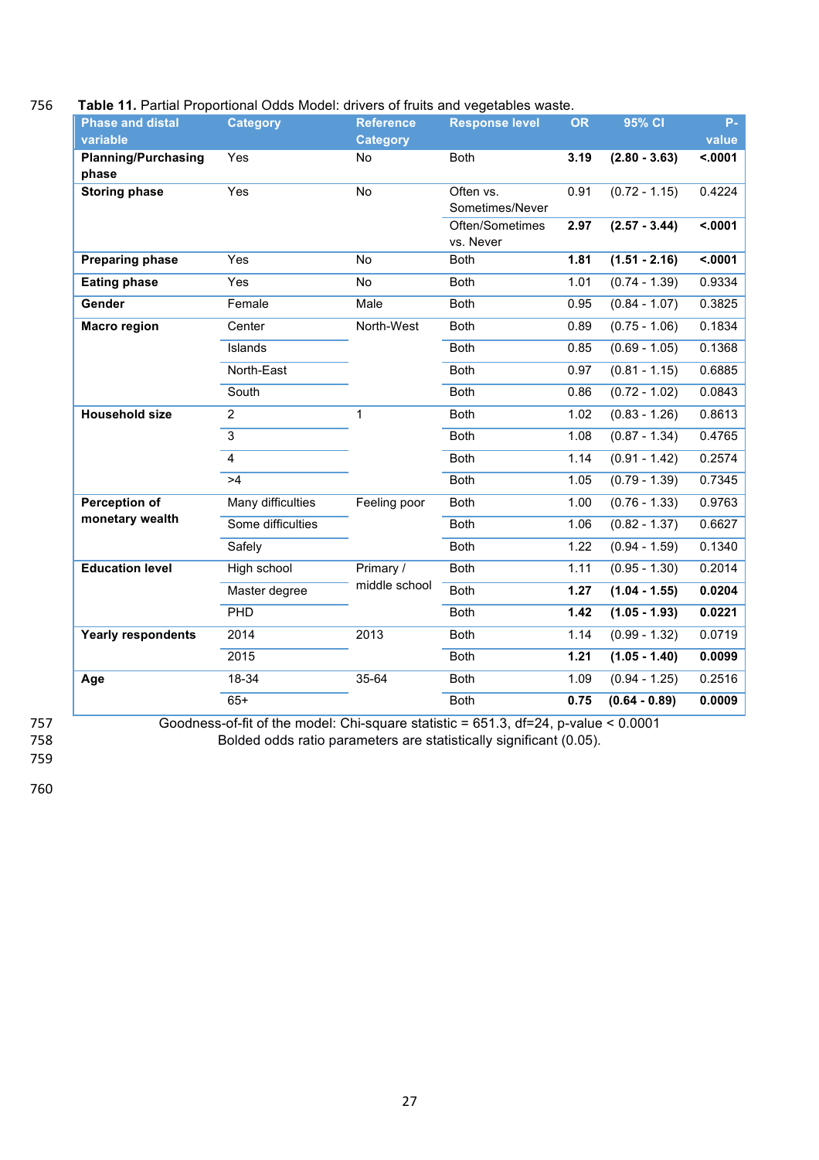| 756 | <b>Table 11.</b> Partial Proportional Odds Model: drivers of fruits and vegetables waste. |  |
|-----|-------------------------------------------------------------------------------------------|--|
|     |                                                                                           |  |

| <b>Phase and distal</b><br>variable | <b>Category</b>   | <b>Reference</b><br><b>Category</b> | <b>Response level</b>        | <b>OR</b> | 95% CI          | P-<br>value |
|-------------------------------------|-------------------|-------------------------------------|------------------------------|-----------|-----------------|-------------|
| <b>Planning/Purchasing</b><br>phase | Yes               | No                                  | <b>Both</b>                  | 3.19      | $(2.80 - 3.63)$ | < .0001     |
| <b>Storing phase</b>                | Yes               | No                                  | Often vs.<br>Sometimes/Never | 0.91      | $(0.72 - 1.15)$ | 0.4224      |
|                                     |                   |                                     | Often/Sometimes<br>vs. Never | 2.97      | $(2.57 - 3.44)$ | < .0001     |
| <b>Preparing phase</b>              | Yes               | <b>No</b>                           | <b>Both</b>                  | 1.81      | $(1.51 - 2.16)$ | < .0001     |
| <b>Eating phase</b>                 | Yes               | <b>No</b>                           | <b>Both</b>                  | 1.01      | $(0.74 - 1.39)$ | 0.9334      |
| Gender                              | Female            | Male                                | <b>Both</b>                  | 0.95      | $(0.84 - 1.07)$ | 0.3825      |
| <b>Macro region</b>                 | Center            | North-West                          | <b>Both</b>                  | 0.89      | $(0.75 - 1.06)$ | 0.1834      |
|                                     | Islands           |                                     | <b>Both</b>                  | 0.85      | $(0.69 - 1.05)$ | 0.1368      |
|                                     | North-East        |                                     | <b>Both</b>                  | 0.97      | $(0.81 - 1.15)$ | 0.6885      |
|                                     | South             |                                     | <b>Both</b>                  | 0.86      | $(0.72 - 1.02)$ | 0.0843      |
| <b>Household size</b>               | $\overline{2}$    | 1                                   | <b>Both</b>                  | 1.02      | $(0.83 - 1.26)$ | 0.8613      |
|                                     | 3                 |                                     | <b>Both</b>                  | 1.08      | $(0.87 - 1.34)$ | 0.4765      |
|                                     | $\overline{4}$    |                                     | <b>Both</b>                  | 1.14      | $(0.91 - 1.42)$ | 0.2574      |
|                                     | >4                |                                     | <b>Both</b>                  | 1.05      | $(0.79 - 1.39)$ | 0.7345      |
| Perception of                       | Many difficulties | Feeling poor                        | <b>Both</b>                  | 1.00      | $(0.76 - 1.33)$ | 0.9763      |
| monetary wealth                     | Some difficulties |                                     | <b>Both</b>                  | 1.06      | $(0.82 - 1.37)$ | 0.6627      |
|                                     | Safely            |                                     | <b>Both</b>                  | 1.22      | $(0.94 - 1.59)$ | 0.1340      |
| <b>Education level</b>              | High school       | Primary /                           | <b>Both</b>                  | 1.11      | $(0.95 - 1.30)$ | 0.2014      |
|                                     | Master degree     | middle school                       | <b>Both</b>                  | 1.27      | $(1.04 - 1.55)$ | 0.0204      |
|                                     | PHD               |                                     | <b>Both</b>                  | 1.42      | $(1.05 - 1.93)$ | 0.0221      |
| <b>Yearly respondents</b>           | 2014              | 2013                                | <b>Both</b>                  | 1.14      | $(0.99 - 1.32)$ | 0.0719      |
|                                     | 2015              |                                     | <b>Both</b>                  | 1.21      | $(1.05 - 1.40)$ | 0.0099      |
| Age                                 | 18-34             | 35-64                               | <b>Both</b>                  | 1.09      | $(0.94 - 1.25)$ | 0.2516      |
|                                     | $65+$             |                                     | <b>Both</b>                  | 0.75      | $(0.64 - 0.89)$ | 0.0009      |

757 Goodness-of-fit of the model: Chi-square statistic = 651.3, df=24, p-value < 0.0001 758 Bolded odds ratio parameters are statistically significant (0.05).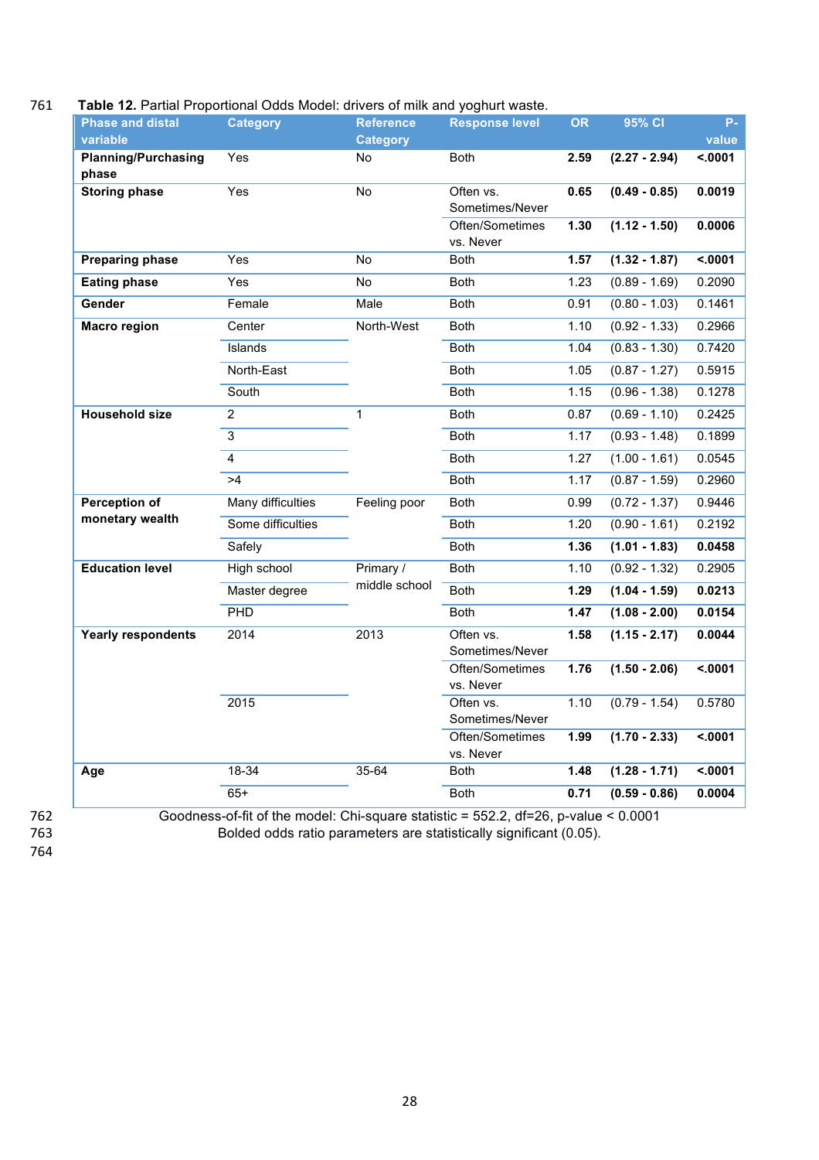| 761 |  | Table 12. Partial Proportional Odds Model: drivers of milk and yoghurt waste. |  |
|-----|--|-------------------------------------------------------------------------------|--|
|     |  |                                                                               |  |

| <b>Phase and distal</b>             | <b>Table 12.</b> Partial Proportional Odds Model. drivers of milk and yognum waste.<br><b>Category</b> | <b>Reference</b> | <b>Response level</b>        | <b>OR</b>         | 95% CI          | P-      |
|-------------------------------------|--------------------------------------------------------------------------------------------------------|------------------|------------------------------|-------------------|-----------------|---------|
| variable                            |                                                                                                        | <b>Category</b>  |                              |                   |                 | value   |
| <b>Planning/Purchasing</b><br>phase | Yes                                                                                                    | No               | <b>Both</b>                  | 2.59              | $(2.27 - 2.94)$ | 5.0001  |
| <b>Storing phase</b>                | Yes                                                                                                    | No               | Often vs.<br>Sometimes/Never | 0.65              | $(0.49 - 0.85)$ | 0.0019  |
|                                     |                                                                                                        |                  | Often/Sometimes<br>vs. Never | $\overline{1.30}$ | $(1.12 - 1.50)$ | 0.0006  |
| <b>Preparing phase</b>              | Yes                                                                                                    | No               | <b>Both</b>                  | 1.57              | $(1.32 - 1.87)$ | < .0001 |
| <b>Eating phase</b>                 | Yes                                                                                                    | No               | <b>Both</b>                  | 1.23              | $(0.89 - 1.69)$ | 0.2090  |
| Gender                              | Female                                                                                                 | Male             | <b>Both</b>                  | 0.91              | $(0.80 - 1.03)$ | 0.1461  |
| <b>Macro region</b>                 | Center                                                                                                 | North-West       | <b>Both</b>                  | 1.10              | $(0.92 - 1.33)$ | 0.2966  |
|                                     | Islands                                                                                                |                  | <b>Both</b>                  | 1.04              | $(0.83 - 1.30)$ | 0.7420  |
|                                     | North-East                                                                                             |                  | <b>Both</b>                  | 1.05              | $(0.87 - 1.27)$ | 0.5915  |
|                                     | South                                                                                                  |                  | <b>Both</b>                  | 1.15              | $(0.96 - 1.38)$ | 0.1278  |
| <b>Household size</b>               | $\overline{2}$                                                                                         | 1                | <b>Both</b>                  | 0.87              | $(0.69 - 1.10)$ | 0.2425  |
|                                     | $\overline{3}$                                                                                         |                  | <b>Both</b>                  | 1.17              | $(0.93 - 1.48)$ | 0.1899  |
|                                     | 4                                                                                                      |                  | <b>Both</b>                  | 1.27              | $(1.00 - 1.61)$ | 0.0545  |
|                                     | >4                                                                                                     |                  | <b>Both</b>                  | 1.17              | $(0.87 - 1.59)$ | 0.2960  |
| <b>Perception of</b>                | Many difficulties                                                                                      | Feeling poor     | <b>Both</b>                  | 0.99              | $(0.72 - 1.37)$ | 0.9446  |
| monetary wealth                     | Some difficulties                                                                                      |                  | <b>Both</b>                  | 1.20              | $(0.90 - 1.61)$ | 0.2192  |
|                                     | Safely                                                                                                 |                  | <b>Both</b>                  | 1.36              | $(1.01 - 1.83)$ | 0.0458  |
| <b>Education level</b>              | High school                                                                                            | Primary /        | <b>Both</b>                  | 1.10              | $(0.92 - 1.32)$ | 0.2905  |
|                                     | Master degree                                                                                          | middle school    | <b>Both</b>                  | 1.29              | $(1.04 - 1.59)$ | 0.0213  |
|                                     | PHD                                                                                                    |                  | <b>Both</b>                  | 1.47              | $(1.08 - 2.00)$ | 0.0154  |
| <b>Yearly respondents</b>           | 2014                                                                                                   | 2013             | Often vs.                    | 1.58              | $(1.15 - 2.17)$ | 0.0044  |
|                                     |                                                                                                        |                  | Sometimes/Never              |                   |                 |         |
|                                     |                                                                                                        |                  | Often/Sometimes<br>vs. Never | 1.76              | $(1.50 - 2.06)$ | 5.0001  |
|                                     | 2015                                                                                                   |                  | Often vs.<br>Sometimes/Never | 1.10              | $(0.79 - 1.54)$ | 0.5780  |
|                                     |                                                                                                        |                  | Often/Sometimes<br>vs. Never | 1.99              | $(1.70 - 2.33)$ | < .0001 |
| Age                                 | 18-34                                                                                                  | 35-64            | <b>Both</b>                  | 1.48              | $(1.28 - 1.71)$ | < .0001 |
|                                     | $65+$                                                                                                  |                  | Both                         | 0.71              | $(0.59 - 0.86)$ | 0.0004  |

762 Goodness-of-fit of the model: Chi-square statistic = 552.2, df=26, p-value < 0.0001 763 Bolded odds ratio parameters are statistically significant (0.05).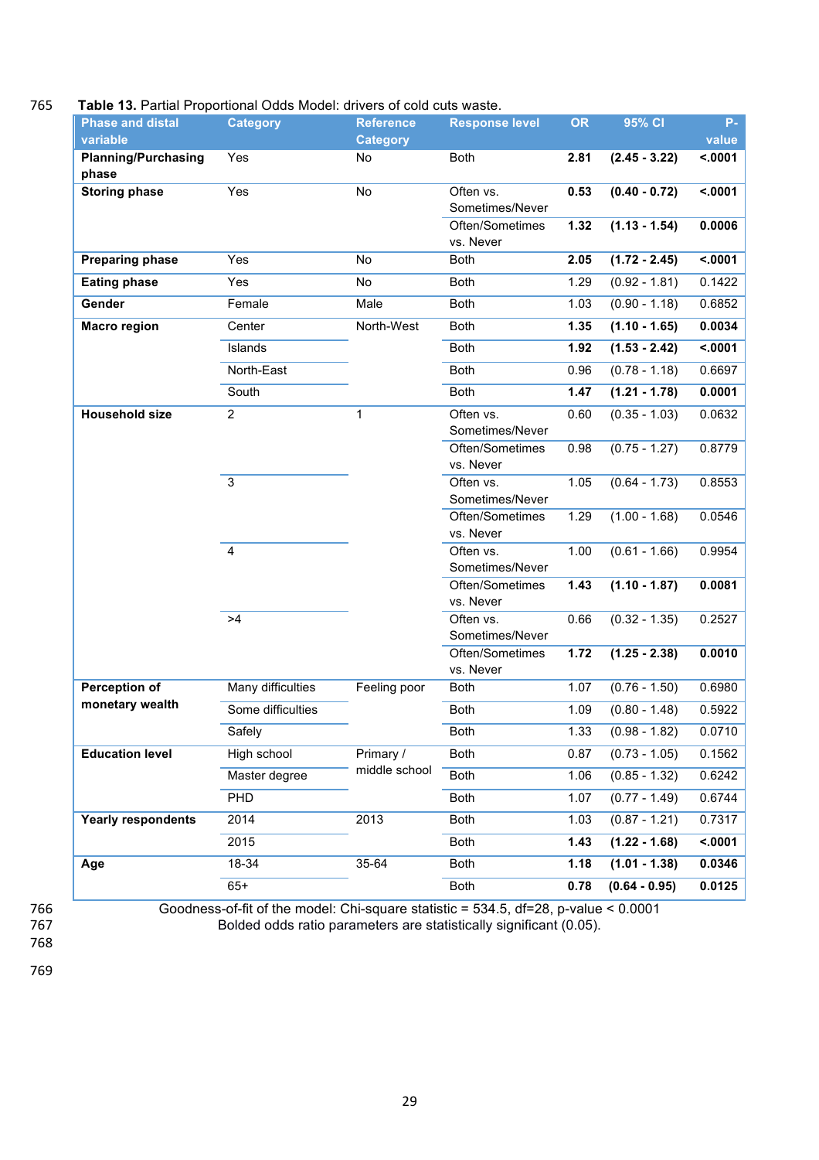| 765 |  |  | <b>Table 13.</b> Partial Proportional Odds Model: drivers of cold cuts waste. |  |
|-----|--|--|-------------------------------------------------------------------------------|--|
|-----|--|--|-------------------------------------------------------------------------------|--|

| <b>Phase and distal</b><br>variable | <b>Category</b>          | <b>Reference</b><br><b>Category</b> | <b>Response level</b>        | <b>OR</b>       | 95% CI          |        |
|-------------------------------------|--------------------------|-------------------------------------|------------------------------|-----------------|-----------------|--------|
| <b>Planning/Purchasing</b><br>phase | Yes                      | No                                  | <b>Both</b>                  | 2.81            | $(2.45 - 3.22)$ |        |
| <b>Storing phase</b>                | Yes                      | No                                  | Often vs.<br>Sometimes/Never | 0.53            | $(0.40 - 0.72)$ |        |
|                                     |                          |                                     | Often/Sometimes<br>vs. Never | 1.32            | $(1.13 - 1.54)$ | 0.0006 |
| <b>Preparing phase</b>              | Yes                      | No                                  | <b>Both</b>                  | 2.05            | $(1.72 - 2.45)$ |        |
| <b>Eating phase</b>                 | Yes                      | No                                  | <b>Both</b>                  | 1.29            | $(0.92 - 1.81)$ | 0.1422 |
| Gender                              | Female                   | Male                                | <b>Both</b>                  | 1.03            | $(0.90 - 1.18)$ | 0.6852 |
| <b>Macro region</b>                 | Center                   | North-West                          | <b>Both</b>                  | 1.35            | $(1.10 - 1.65)$ | 0.0034 |
|                                     | Islands                  |                                     | <b>Both</b>                  | 1.92            | $(1.53 - 2.42)$ |        |
|                                     | North-East               |                                     | <b>Both</b>                  | 0.96            | $(0.78 - 1.18)$ | 0.6697 |
|                                     | South                    |                                     | <b>Both</b>                  | 1.47            | $(1.21 - 1.78)$ | 0.0001 |
| <b>Household size</b>               | $\overline{2}$           | $\mathbf{1}$                        | Often vs.<br>Sometimes/Never | 0.60            | $(0.35 - 1.03)$ | 0.0632 |
|                                     |                          |                                     | Often/Sometimes<br>vs. Never | 0.98            | $(0.75 - 1.27)$ | 0.8779 |
|                                     | $\overline{3}$           |                                     | Often vs.<br>Sometimes/Never | 1.05            | $(0.64 - 1.73)$ | 0.8553 |
|                                     |                          |                                     | Often/Sometimes<br>vs. Never | 1.29            | $(1.00 - 1.68)$ | 0.0546 |
|                                     | $\overline{4}$           | Often vs.<br>Sometimes/Never        | 1.00                         | $(0.61 - 1.66)$ | 0.9954          |        |
|                                     |                          |                                     | Often/Sometimes<br>vs. Never | 1.43            | $(1.10 - 1.87)$ |        |
|                                     | >4                       |                                     | Often vs.<br>Sometimes/Never | 0.66            | $(0.32 - 1.35)$ | 0.2527 |
|                                     |                          |                                     | Often/Sometimes<br>vs. Never | 1.72            | $(1.25 - 2.38)$ | 0.0010 |
| <b>Perception of</b>                | <b>Many difficulties</b> | Feeling poor                        | Both                         | 1.07            | $(0.76 - 1.50)$ | 0.6980 |
| monetary wealth                     | Some difficulties        |                                     | <b>Both</b>                  | 1.09            | $(0.80 - 1.48)$ | 0.5922 |
|                                     | Safely                   |                                     | <b>Both</b>                  | 1.33            | $(0.98 - 1.82)$ | 0.0710 |
| <b>Education level</b>              | High school              | Primary /                           | Both                         | 0.87            | $(0.73 - 1.05)$ |        |
|                                     | Master degree            | middle school                       | <b>Both</b>                  | 1.06            | $(0.85 - 1.32)$ | 0.6242 |
|                                     | PHD                      |                                     | <b>Both</b>                  | 1.07            | $(0.77 - 1.49)$ |        |
| <b>Yearly respondents</b>           | 2014                     | 2013                                | <b>Both</b>                  | 1.03            | $(0.87 - 1.21)$ |        |
|                                     | 2015                     |                                     | <b>Both</b>                  | 1.43            | $(1.22 - 1.68)$ |        |
| Age                                 | 18-34                    | 35-64                               | <b>Both</b>                  | 1.18            | $(1.01 - 1.38)$ | 0.0346 |
|                                     | $65+$                    |                                     | <b>Both</b>                  | 0.78            | $(0.64 - 0.95)$ |        |

767 Bolded odds ratio parameters are statistically significant (0.05).

768